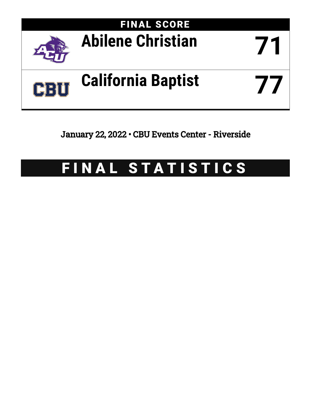

January 22, 2022 • CBU Events Center - Riverside

# FINAL STATISTICS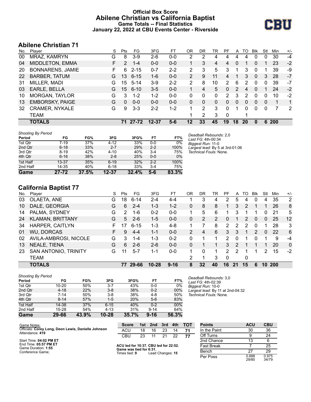## **Official Box Score Abilene Christian vs California Baptist Game Totals -- Final Statistics January 22, 2022 at CBU Events Center - Riverside**



# **Abilene Christian 71**

| No. | Plaver                  | S  | <b>Pts</b> | FG.      | 3FG       | FТ      | OR             | DR       | TR | РF       | A  | TO | Blk          | Stl      | Min | $+/-$ |
|-----|-------------------------|----|------------|----------|-----------|---------|----------------|----------|----|----------|----|----|--------------|----------|-----|-------|
| 00  | MRAZ, KAMRYN            | G  | 8          | $3-9$    | $2-6$     | $0 - 0$ | $\overline{2}$ | 2        | 4  | 4        | 4  | 4  | 0            | 0        | 30  | -4    |
| 04  | <b>MIDDLETON, EMMA</b>  | F. | 2          | $1 - 4$  | $0 - 0$   | $0 - 0$ |                | 3        | 4  | 4        | 0  |    | $\mathbf{0}$ |          | 23  | $-2$  |
| 20  | <b>BONNARENS, JAMIE</b> | F  | 6          | $2 - 15$ | $0 - 7$   | $2 - 2$ | 2              | 3        | 5  | 3        |    | 3  | $\Omega$     |          | 39  | -9    |
| 22  | <b>BARBER, TATUM</b>    | G  | 13         | $6 - 15$ | $1 - 6$   | $0 - 0$ | 2              | 9        | 11 | 4        |    | 3  | $\Omega$     | 3        | 28  | $-7$  |
| 31  | MILLER, MADI            | G  | 15         | $5 - 14$ | $3-9$     | $2 - 2$ | 2              | 8        | 10 | 2        | 6  | 2  | $\Omega$     | 0        | 39  | $-7$  |
| 03  | EARLE, BELLA            | G  | 15         | 6-10     | $3 - 5$   | $0 - 0$ |                | 4        | 5  | 0        | 2  | 4  | 0            |          | 24  | $-2$  |
| 10  | MORGAN, TAYLOR          | G  | 3          | $1 - 2$  | $1 - 2$   | $0 - 0$ | 0              | 0        | 0  | 2        | 3  | 2  | $\Omega$     | 0        | 10  | $-2$  |
| 13  | <b>EMBORSKY, PAIGE</b>  | G  | 0          | $0 - 0$  | $0 - 0$   | $0 - 0$ | 0              | $\Omega$ | 0  | 0        | 0  | 0  | $\Omega$     | $\Omega$ | 1   | 1     |
| 32  | <b>CRAMER, NYKALE</b>   | G  | 9          | $3 - 3$  | $2 - 2$   | $1 - 2$ |                | 2        | 3  | 0        | 1  | 0  | $\Omega$     | 0        | 7   | 2     |
|     | <b>TEAM</b>             |    |            |          |           |         |                | 2        | 3  | $\Omega$ |    | 1  |              |          |     |       |
|     | <b>TOTALS</b>           |    | 71         | 27-72    | $12 - 37$ | $5 - 6$ | 12             | 33       | 45 | 19       | 18 | 20 | $\bf{0}$     | 6        | 200 |       |

| <b>Shooting By Period</b> |           |       |           |       |         |                     |                                              |
|---------------------------|-----------|-------|-----------|-------|---------|---------------------|----------------------------------------------|
| Period                    | FG        | FG%   | 3FG       | 3FG%  | FT      | FT%                 | Deadball Rebounds: 2.0<br>Last FG: 4th-00:34 |
| 1st Qtr                   | 7-19      | 37%   | $4 - 12$  | 33%   | $0-0$   | 0%                  | Biggest Run: 11-0                            |
| 2nd Qtr                   | $6 - 18$  | 33%   | $2 - 7$   | 29%   | $2 - 2$ | 100%                | Largest lead: By 5 at 3rd-01:06              |
| 3rd Qtr                   | $8 - 19$  | 42%   | $4 - 10$  | 40%   | $3 - 4$ | 75%                 | Technical Fouls: None.                       |
| 4th Qtr                   | $6 - 16$  | 38%   | $2 - 8$   | 25%   | $0 - 0$ | $0\%$               |                                              |
| 1st Half                  | $13 - 37$ | 35%   | $6 - 19$  | 32%   | $2 - 2$ | 100%                |                                              |
| 2nd Half                  | 14-35     | 40%   | $6 - 18$  | 33%   | $3 - 4$ | 75%                 |                                              |
| Game                      | $27 - 72$ | 37.5% | $12 - 37$ | 32.4% | $5-6$   | $83.\overline{3\%}$ |                                              |

# **California Baptist 77**

| No. | Player                  | S  | Pts | FG       | 3FG       | FТ       | 0R             | DR | TR | РF             | A             | TO | Blk | Stl      | Min        | $+/-$          |
|-----|-------------------------|----|-----|----------|-----------|----------|----------------|----|----|----------------|---------------|----|-----|----------|------------|----------------|
| 03  | OLAETA, ANE             | G  | 18  | $6 - 14$ | $2 - 4$   | 4-4      |                | 3  | 4  | 2              | 5             | 4  | 0   | 4        | 35         | $\overline{2}$ |
| 10  | DALE, GEORGIA           | G  | 6   | $2 - 4$  | $1 - 3$   | $1 - 2$  | 0              | 8  | 8  |                | 3             | 2  |     |          | 26         | 8              |
| 14  | PALMA, SYDNEY           | G  | 2   | 1-6      | $0 - 2$   | $0 - 0$  |                | 5  | 6  |                | 3             |    |     | 0        | 21         | 5              |
| 24  | <b>KLAMAN, BRITTANY</b> | G  | 5   | $2 - 6$  | $1 - 5$   | $0 - 0$  | $\mathbf{0}$   | 2  | 2  | 0              |               | 2  | 0   | 0        | 25         | 12             |
| 34  | <b>HARPER, CAITLYN</b>  | F. | 17  | $6 - 15$ | 1-3       | $4 - 8$  |                |    | 8  | $\overline{2}$ | 2             | 2  | 0   |          | 28         | 3              |
| 01  | <b>WU, DORCAS</b>       | F. | 9   | $4 - 4$  | $1 - 1$   | $0 - 0$  | $\overline{2}$ | 4  | 6  | 3              | 3             |    | 2   | $\Omega$ | 22         | 6              |
| 02  | AVILA-AMBROSI, NICOLE   | G  | 3   | $1 - 4$  | $1 - 3$   | $0 - 2$  | 0              |    |    | 2              | 0             |    | 0   |          | 9          | $-4$           |
| 13  | NEALE, TIENA            | G  | 6   | $2-6$    | $2-6$     | $0 - 0$  | 0              |    |    | 3              | $\mathcal{P}$ |    |     |          | 20         | $\mathbf{0}$   |
| 23  | SAN ANTONIO, TRINITY    | G  | 11  | $5 - 7$  | 1-1       | $0 - 0$  |                | 0  | 1  | $\mathcal{P}$  | 2             |    |     | 2        | 15         | $-2$           |
|     | <b>TEAM</b>             |    |     |          |           |          | 2              |    | 3  | $\Omega$       |               | 0  |     |          |            |                |
|     | <b>TOTALS</b>           |    |     | 29-66    | $10 - 28$ | $9 - 16$ | 8              | 32 | 40 | 16             | 21            | 15 | 6   | 10       | <b>200</b> |                |

| <b>Shooting By Period</b> |           |       |           |       |          |       |
|---------------------------|-----------|-------|-----------|-------|----------|-------|
| Period                    | FG        | FG%   | 3FG       | 3FG%  | FT       | FT%   |
| 1st Qtr                   | $10 - 20$ | 50%   | $3 - 7$   | 43%   | $0 - 0$  | 0%    |
| 2nd Qtr                   | $4 - 18$  | 22%   | $3 - 8$   | 38%   | $0 - 2$  | 00%   |
| 3rd Qtr                   | $7 - 14$  | 50%   | $3 - 8$   | 38%   | 4-8      | 50%   |
| 4th Qtr                   | $8 - 14$  | 57%   | $1 - 5$   | 20%   | $5-6$    | 83%   |
| 1st Half                  | 14-38     | 37%   | $6 - 15$  | 40%   | $0 - 2$  | 00%   |
| 2nd Half                  | $15 - 28$ | 54%   | $4 - 13$  | 31%   | $9 - 14$ | 64%   |
| Game                      | 29-66     | 43.9% | $10 - 28$ | 35.7% | $9 - 16$ | 56.3% |

*Deadball Rebounds:* 3,0 *Last FG:* 4th-02:39 *Biggest Run:* 10-0 *Largest lead:* By 11 at 2nd-04:32 *Technical Fouls:* None.

| Game Notes:                                                            | <b>Score</b>                                    |    | 1st 2nd          | 3rd | 4th | <b>TOT</b> | <b>Points</b>     | <b>ACU</b>     | <b>CBU</b>     |
|------------------------------------------------------------------------|-------------------------------------------------|----|------------------|-----|-----|------------|-------------------|----------------|----------------|
| Officials: Corey Long, Deon Lewis, Danielle Johnson<br>Attendance: 419 | <b>ACU</b>                                      | 18 | 16               | 23  | 14  | 74         | In the Paint      | 30             | 36             |
|                                                                        | <b>CBU</b>                                      | 23 |                  | 21  | 22  |            | Off Turns         |                | 24             |
| Start Time: 04:02 PM ET                                                |                                                 |    |                  |     |     |            | 2nd Chance        |                |                |
| End Time: 05:57 PM ET<br>Game Duration: 1:55                           | ACU led for 10:37. CBU led for 22:52.           |    |                  |     |     |            | <b>Fast Break</b> |                | 25             |
| Conference Game:                                                       | Game was tied for 6:31.<br>Times tied: <b>9</b> |    | Lead Changes: 15 |     |     |            | Bench             | 27             | 29             |
|                                                                        |                                                 |    |                  |     |     |            | Per Poss          | 0.888<br>29/80 | 0.975<br>34/79 |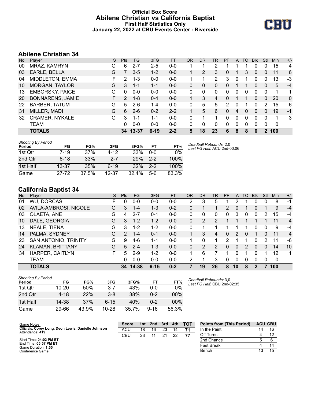## **Official Box Score Abilene Christian vs California Baptist First Half Statistics Only January 22, 2022 at CBU Events Center - Riverside**



# **Abilene Christian 34**

| No. | Plaver                  | S  | <b>Pts</b> | <b>FG</b> | 3FG      | <b>FT</b> | OR | <b>DR</b> | TR | <b>PF</b> | A | TO       | <b>Blk</b> | Stl | <b>Min</b> | $+/-$    |
|-----|-------------------------|----|------------|-----------|----------|-----------|----|-----------|----|-----------|---|----------|------------|-----|------------|----------|
| 00  | MRAZ, KAMRYN            | G  | 6          | 2-7       | $2 - 5$  | $0-0$     |    |           | 2  |           |   |          | 0          | 0   | 15         | 4        |
| 03  | EARLE, BELLA            | G  |            | $3 - 5$   | $1 - 2$  | $0 - 0$   |    | 2         | 3  | 0         |   | 3        | $\Omega$   | 0   | 11         | 6        |
| 04  | MIDDLETON, EMMA         | F. | 2          | 1-3       | $0 - 0$  | $0-0$     |    |           | 2  | 3         | 0 |          | 0          | 0   | 13         | -3       |
| 10  | MORGAN, TAYLOR          | G  | 3          | 1-1       | $1 - 1$  | $0 - 0$   | 0  | 0         | 0  | 0         |   |          | 0          | 0   | 5          | $-4$     |
| 13  | <b>EMBORSKY, PAIGE</b>  | G  | 0          | $0 - 0$   | $0 - 0$  | $0 - 0$   | 0  | 0         | 0  | 0         | 0 | 0        | 0          | 0   | 1          | 1        |
| 20  | <b>BONNARENS, JAMIE</b> | F. | 2          | $1 - 8$   | $0 - 4$  | $0 - 0$   |    | 3         | 4  | 0         |   |          | 0          | 0   | 20         | $\Omega$ |
| 22  | <b>BARBER, TATUM</b>    | G  | 5          | $2-6$     | $1 - 4$  | $0 - 0$   | 0  | 5         | 5  | 2         | 0 |          | 0          | 2   | 15         | -6       |
| 31  | MILLER, MADI            | G  | 6          | $2 - 6$   | $0 - 2$  | $2 - 2$   |    | 5         | 6  | $\Omega$  | 4 | $\Omega$ | $\Omega$   | 0   | 19         | $-1$     |
| 32  | <b>CRAMER, NYKALE</b>   | G  | 3          | 1-1       | $1 - 1$  | $0 - 0$   | 0  | 1         | 1  | 0         | 0 | $\Omega$ | 0          | 0   | 1          | 3        |
|     | TEAM                    |    | $\Omega$   | $0 - 0$   | $0 - 0$  | $0 - 0$   | 0  | 0         | 0  | 0         | 0 | $\Omega$ | 0          | 0   | 0          |          |
|     | <b>TOTALS</b>           |    |            | 34 13-37  | $6 - 19$ | $2 - 2$   | 5  | 18        | 23 | 6         | 8 | 8        |            | 2   | 100        |          |

| <b>Shooting By Period</b><br>Period | FG        | FG%   | 3FG      | 3FG%  | FT      | FT%   | Deadball Rebounds: 2,0<br>Last FG Half: ACU 2nd-00:06 |
|-------------------------------------|-----------|-------|----------|-------|---------|-------|-------------------------------------------------------|
| 1st Qtr                             | 7-19      | 37%   | $4 - 12$ | 33%   | 0-0     | $0\%$ |                                                       |
| 2nd Qtr                             | $6 - 18$  | 33%   | $2 - 7$  | 29%   | $2 - 2$ | 100%  |                                                       |
| 1st Half                            | $13 - 37$ | 35%   | $6 - 19$ | 32%   | $2 - 2$ | 100%  |                                                       |
| Game                                | 27-72     | 37.5% | 12-37    | 32.4% | 5-6     | 83.3% |                                                       |

# **California Baptist 34**

| No. | Player                  | S  | <b>Pts</b>    | <b>FG</b> | 3FG      | <b>FT</b> | <b>OR</b> | <b>DR</b> | TR | PF             | A  | TO       | <b>B</b> lk | Stl | Min | $+/-$          |
|-----|-------------------------|----|---------------|-----------|----------|-----------|-----------|-----------|----|----------------|----|----------|-------------|-----|-----|----------------|
| 01  | <b>WU, DORCAS</b>       | F  | 0             | $0 - 0$   | $0 - 0$  | $0 - 0$   | 2         | 3         | 5  |                | 2  |          |             | 0   | 8   | $-1$           |
| 02  | AVILA-AMBROSI, NICOLE   | G  | 3             | $1 - 4$   | $1 - 3$  | $0 - 2$   | 0         |           |    | $\overline{2}$ | 0  |          | $\Omega$    | 1   | 9   | $-4$           |
| 03  | OLAETA, ANE             | G  | 4             | $2 - 7$   | $0 - 1$  | $0-0$     | 0         | 0         | 0  | 0              | 3  | 0        | 0           | 2   | 15  | $-4$           |
| 10  | DALE, GEORGIA           | G  | 3             | $1 - 2$   | $1 - 2$  | $0 - 0$   | 0         | 2         | 2  |                |    |          |             |     | 11  | $\overline{4}$ |
| 13  | NEALE, TIENA            | G  | 3             | $1 - 2$   | $1 - 2$  | $0 - 0$   | 0         |           |    |                |    |          | 0           | 0   | 9   | -4             |
| 14  | PALMA, SYDNEY           | G  | $\mathcal{P}$ | $1 - 4$   | $0 - 1$  | $0 - 0$   |           | 3         | 4  | $\Omega$       | 2  | $\Omega$ |             | 0   | 11  | $\overline{4}$ |
| -23 | SAN ANTONIO, TRINITY    | G  | 9             | $4-6$     | $1 - 1$  | $0 - 0$   |           | 0         |    | 2              |    |          | 0           | 2   | 11  | -6             |
| 24  | <b>KLAMAN, BRITTANY</b> | G  | 5             | $2 - 4$   | $1 - 3$  | $0 - 0$   | 0         | 2         | 2  | 0              | 0  | 2        | 0           | 0   | 14  | 10             |
| 34  | <b>HARPER, CAITLYN</b>  | F. | 5             | $2 - 9$   | $1 - 2$  | $0-0$     |           | 6         |    | 1              | 0  |          | $\Omega$    | 1   | 12  | 1              |
|     | TEAM                    |    | 0             | $0 - 0$   | $0 - 0$  | $0 - 0$   | 2         | 1         | 3  | 0              | 0  | 0        | 0           | 0   | 0   |                |
|     | <b>TOTALS</b>           |    |               | 34 14-38  | $6 - 15$ | $0 - 2$   |           | 19        | 26 | 8              | 10 | 8        | 2           |     | 100 |                |

| <b>Shooting By Period</b><br>Period | FG        | FG%   | 3FG       | 3FG%  | FТ       | FT%   |
|-------------------------------------|-----------|-------|-----------|-------|----------|-------|
| 1st Otr                             | $10 - 20$ | 50%   | 3-7       | 43%   | 0-0      | 0%    |
| 2nd Qtr                             | 4-18      | 22%   | $3 - 8$   | 38%   | $0 - 2$  | 00%   |
| 1st Half                            | 14-38     | 37%   | $6 - 15$  | 40%   | $0 - 2$  | 00%   |
| Game                                | 29-66     | 43.9% | $10 - 28$ | 35.7% | $9 - 16$ | 56.3% |

*Deadball Rebounds:* 3,0 *Last FG Half:* CBU 2nd-02:35

| Game Notes:                                                            | <b>Score</b> |    | 1st 2nd | 3rd | 4th | <b>TOT</b> | <b>Points from (This Period)</b> |    | <b>ACU CBU</b> |
|------------------------------------------------------------------------|--------------|----|---------|-----|-----|------------|----------------------------------|----|----------------|
| Officials: Corey Long, Deon Lewis, Danielle Johnson<br>Attendance: 419 | ACU          | 18 | 16      | 23  | 14  |            | In the Paint                     | 14 | 16             |
|                                                                        | CBU          | 23 |         | 21  | つつ  |            | Off Turns                        |    |                |
| Start Time: 04:02 PM ET                                                |              |    |         |     |     |            | 2nd Chance                       |    |                |
| End Time: 05:57 PM ET<br>Game Duration: 1:55                           |              |    |         |     |     |            | <b>Fast Break</b>                |    | 14             |
| Conference Game:                                                       |              |    |         |     |     |            | Bench                            |    | 15             |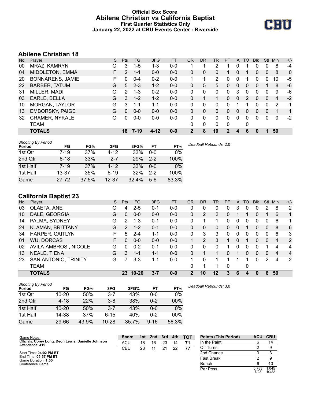## **Official Box Score Abilene Christian vs California Baptist First Quarter Statistics Only January 22, 2022 at CBU Events Center - Riverside**



# **Abilene Christian 18**

| No. | Player                  | S  | <b>Pts</b>     | <b>FG</b> | 3FG      | <b>FT</b> | <b>OR</b> | <b>DR</b> | TR       | <b>PF</b> | A        | TO       | <b>Blk</b> | Stl          | Min         | $+/-$        |
|-----|-------------------------|----|----------------|-----------|----------|-----------|-----------|-----------|----------|-----------|----------|----------|------------|--------------|-------------|--------------|
| 00  | MRAZ, KAMRYN            | G  | 3              | $1 - 5$   | $1 - 3$  | $0 - 0$   |           |           | 2        |           |          |          | 0          | 0            | 8           | -4           |
| 04  | MIDDLETON, EMMA         | F. | $\overline{2}$ | $1 - 1$   | $0 - 0$  | $0-0$     | 0         | 0         | 0        |           | 0        |          | 0          | $\mathbf{0}$ | 8           | $\mathbf{0}$ |
| 20  | <b>BONNARENS, JAMIE</b> | F  | $\Omega$       | $0 - 4$   | $0 - 2$  | $0 - 0$   |           |           | 2        | 0         | 0        |          | 0          | 0            | 10          | -5           |
| 22  | <b>BARBER, TATUM</b>    | G  | 5              | $2 - 3$   | $1 - 2$  | $0 - 0$   | 0         | 5         | 5        | 0         | 0        | 0        | 0          |              | 8           | -6           |
| 31  | MILLER, MADI            | G  | 2              | $1 - 3$   | $0 - 2$  | $0 - 0$   | 0         | 0         | 0        | 0         | 3        | 0        | 0          | $\Omega$     | 9           | -6           |
| 03  | EARLE, BELLA            | G  | 3              | $1 - 2$   | $1 - 2$  | $0 - 0$   | 0         |           |          | 0         | 0        | 2        | 0          | $\Omega$     | 4           | $-2$         |
| 10  | MORGAN, TAYLOR          | G  | 3              | 1-1       | $1 - 1$  | $0 - 0$   | 0         | 0         | 0        | 0         |          |          | 0          | 0            | 2           | -1           |
| 13  | <b>EMBORSKY, PAIGE</b>  | G  | $\mathbf{0}$   | $0 - 0$   | $0 - 0$  | $0 - 0$   | 0         | 0         | 0        | 0         | $\Omega$ | $\Omega$ | 0          | $\Omega$     | 1           | 1            |
| 32  | <b>CRAMER, NYKALE</b>   | G  | 0              | $0 - 0$   | $0 - 0$  | $0 - 0$   | 0         | 0         | $\Omega$ | $\Omega$  | $\Omega$ | 0        | 0          | $\Omega$     | $\mathbf 0$ | $-2$         |
|     | TEAM                    |    |                |           |          |           | 0         | 0         | 0        | $\Omega$  |          | 0        |            |              |             |              |
|     | <b>TOTALS</b>           |    | 18             | $7 - 19$  | $4 - 12$ | $0 - 0$   | 2         | 8         | 10       | 2         |          | 6        | 0          |              | 50          |              |

| <b>Shooting By Period</b><br>Period | FG        | FG%   | 3FG       | 3FG%  | FT      | FT%   | Deadball Rebounds: 2,0 |
|-------------------------------------|-----------|-------|-----------|-------|---------|-------|------------------------|
| 1st Qtr                             | $7 - 19$  | 37%   | 4-12      | 33%   | $0 - 0$ | 0%    |                        |
| 2nd Qtr                             | $6 - 18$  | 33%   | $2 - 7$   | 29%   | $2 - 2$ | 100%  |                        |
| 1st Half                            | $7 - 19$  | 37%   | $4 - 12$  | 33%   | $0 - 0$ | 0%    |                        |
| 1st Half                            | $13 - 37$ | 35%   | $6 - 19$  | 32%   | $2 - 2$ | 100%  |                        |
| Game                                | $27 - 72$ | 37.5% | $12 - 37$ | 32.4% | $5-6$   | 83.3% |                        |

# **California Baptist 23**

| No. | Plaver                  | S  | Pts      | <b>FG</b> | 3FG     | <b>FT</b> | <b>OR</b> | <b>DR</b> | <b>TR</b>      | PF | A            | <b>TO</b> | <b>Blk</b>   | <b>Stl</b>    | Min            | $+/-$          |
|-----|-------------------------|----|----------|-----------|---------|-----------|-----------|-----------|----------------|----|--------------|-----------|--------------|---------------|----------------|----------------|
| 03  | OLAETA, ANE             | G  | 4        | $2 - 5$   | 0-1     | $0-0$     | 0         | 0         | $\Omega$       | 0  | 3            | $\Omega$  | 0            | 2             | 8              | $\overline{2}$ |
| 10  | DALE, GEORGIA           | G  | 0        | $0 - 0$   | $0 - 0$ | $0 - 0$   | 0         | 2         | $\overline{2}$ | 0  |              |           | 0            |               | 6              | 1              |
| 14  | PALMA, SYDNEY           | G  | 2        | $1 - 3$   | $0 - 1$ | $0-0$     | 0         |           | 1              | 0  | 0            | 0         | 0            | $\Omega$      | 6              | 1              |
| 24  | <b>KLAMAN, BRITTANY</b> | G  | 2        | $1 - 2$   | $0 - 1$ | $0 - 0$   | 0         | 0         | 0              | 0  | $\mathbf{0}$ |           | 0            | $\Omega$      | 8              | 6              |
| 34  | <b>HARPER, CAITLYN</b>  | F  | 5        | $2 - 4$   | 1-1     | $0-0$     | 0         | 3         | 3              | o  | 0            | ∩         | 0            | 0             | 6              | 3              |
| 01  | <b>WU, DORCAS</b>       | F. | 0        | $0 - 0$   | $0 - 0$ | $0 - 0$   |           | 2         | 3              |    | 0            |           | 0            | $\Omega$      | $\overline{4}$ | 2              |
| 02  | AVILA-AMBROSI, NICOLE   | G  | $\Omega$ | $0 - 2$   | $0 - 1$ | $0-0$     | 0         | 0         | $\mathbf{0}$   |    | 0            | 0         | 0            |               | 4              | 4              |
| 13  | NEALE, TIENA            | G  | 3        | $1 - 1$   | $1 - 1$ | $0 - 0$   | $\Omega$  |           |                | 0  |              | $\Omega$  | 0            | $\Omega$      | 4              | $\overline{4}$ |
| 23  | SAN ANTONIO, TRINITY    | G  |          | $3 - 3$   | $1 - 1$ | $0-0$     | 1         | 0         |                |    |              |           | 0            | $\mathcal{P}$ | 4              | $\overline{2}$ |
|     | TEAM                    |    |          |           |         |           | 0         |           | 1              | 0  |              | 0         |              |               |                |                |
|     | <b>TOTALS</b>           |    | 23       | $10 - 20$ | $3 - 7$ | $0 - 0$   | 2         | 10        | $12 \,$        | 3  | 6            | 4         | $\mathbf{0}$ | 6             | 50             |                |

| <b>Shooting By Period</b><br>Period | FG        | FG%   | 3FG       | 3FG%  | FT       | FT%   | Deadball Rebounds: 3,0 |
|-------------------------------------|-----------|-------|-----------|-------|----------|-------|------------------------|
| 1st Qtr                             | $10 - 20$ | 50%   | $3 - 7$   | 43%   | 0-0      | 0%    |                        |
| 2nd Qtr                             | $4 - 18$  | 22%   | $3 - 8$   | 38%   | $0 - 2$  | 00%   |                        |
| 1st Half                            | $10 - 20$ | 50%   | $3 - 7$   | 43%   | 0-0      | 0%    |                        |
| 1st Half                            | 14-38     | 37%   | $6 - 15$  | 40%   | $0 - 2$  | 00%   |                        |
| Game                                | 29-66     | 43.9% | $10 - 28$ | 35.7% | $9 - 16$ | 56.3% |                        |

| Game Notes:                                                            | <b>Score</b> |    | 1st 2nd | 3rd | 4th | <b>TOT</b> | <b>Points (This Period)</b> | <b>ACU</b>    | <b>CBU</b>     |
|------------------------------------------------------------------------|--------------|----|---------|-----|-----|------------|-----------------------------|---------------|----------------|
| Officials: Corey Long, Deon Lewis, Danielle Johnson<br>Attendance: 419 | ACU          | 18 | 16      | 23  | 14  | 71         | In the Paint                |               | 14             |
|                                                                        | CBU          | 23 | 11      | 21  | 22  | 77         | Off Turns                   |               |                |
| Start Time: 04:02 PM ET                                                |              |    |         |     |     |            | 2nd Chance                  |               |                |
| End Time: 05:57 PM ET<br>Game Duration: 1:55                           |              |    |         |     |     |            | Fast Break                  |               |                |
| Conference Game:                                                       |              |    |         |     |     |            | Bench                       |               | 10             |
|                                                                        |              |    |         |     |     |            | Per Poss                    | 0.783<br>7/23 | 1.045<br>10/22 |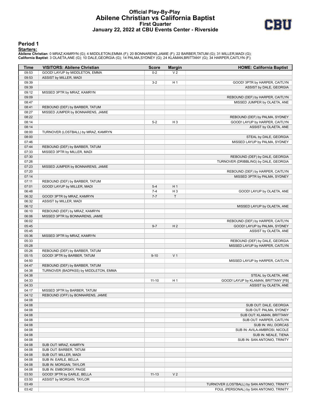## **Official Play-By-Play Abilene Christian vs California Baptist First Quarter January 22, 2022 at CBU Events Center - Riverside**



#### **Period 1**

#### **Starters:**

Abilene Christian: 0 MRAZ,KAMRYN (G); 4 MIDDLETON,EMMA (F); 20 BONNARENS,JAMIE (F); 22 BARBER,TATUM (G); 31 MILLER,MADI (G);<br>California Baptist: 3 OLAETA,ANE (G); 10 DALE,GEORGIA (G); 14 PALMA,SYDNEY (G); 24 KLAMAN,BRITTAN

| Time           | <b>VISITORS: Abilene Christian</b>                   | Score              | <b>Margin</b>            | <b>HOME: California Baptist</b>                                  |
|----------------|------------------------------------------------------|--------------------|--------------------------|------------------------------------------------------------------|
| 09:53          | GOOD! LAYUP by MIDDLETON, EMMA                       | $0 - 2$            | V <sub>2</sub>           |                                                                  |
| 09:53          | ASSIST by MILLER, MADI                               |                    |                          |                                                                  |
| 09:39          |                                                      | $3-2$              | H <sub>1</sub>           | GOOD! 3PTR by HARPER, CAITLYN                                    |
| 09:39          |                                                      |                    |                          | ASSIST by DALE, GEORGIA                                          |
| 09:12          | MISSED 3PTR by MRAZ, KAMRYN                          |                    |                          |                                                                  |
| 09:09          |                                                      |                    |                          | REBOUND (DEF) by HARPER, CAITLYN                                 |
| 08:47          |                                                      |                    |                          | MISSED JUMPER by OLAETA, ANE                                     |
| 08:41          | REBOUND (DEF) by BARBER, TATUM                       |                    |                          |                                                                  |
| 08:27<br>08:22 | MISSED JUMPER by BONNARENS, JAMIE                    |                    |                          |                                                                  |
| 08:14          |                                                      | $5-2$              | $H_3$                    | REBOUND (DEF) by PALMA, SYDNEY<br>GOOD! LAYUP by HARPER, CAITLYN |
| 08:14          |                                                      |                    |                          | ASSIST by OLAETA, ANE                                            |
| 08:00          | TURNOVER (LOSTBALL) by MRAZ, KAMRYN                  |                    |                          |                                                                  |
| 08:00          |                                                      |                    |                          | STEAL by DALE, GEORGIA                                           |
| 07:46          |                                                      |                    |                          | MISSED LAYUP by PALMA, SYDNEY                                    |
| 07:44          | REBOUND (DEF) by BARBER, TATUM                       |                    |                          |                                                                  |
| 07:33          | MISSED 3PTR by MILLER, MADI                          |                    |                          |                                                                  |
| 07:30          |                                                      |                    |                          | REBOUND (DEF) by DALE, GEORGIA                                   |
| 07:26          |                                                      |                    |                          | TURNOVER (DRIBBLING) by DALE, GEORGIA                            |
| 07:23          | MISSED JUMPER by BONNARENS, JAMIE                    |                    |                          |                                                                  |
| 07:20          |                                                      |                    |                          | REBOUND (DEF) by HARPER, CAITLYN                                 |
| 07:14          |                                                      |                    |                          | MISSED 3PTR by PALMA, SYDNEY                                     |
| 07:11          | REBOUND (DEF) by BARBER, TATUM                       |                    |                          |                                                                  |
| 07:01          | GOOD! LAYUP by MILLER, MADI                          | $5 - 4$            | H <sub>1</sub>           |                                                                  |
| 06:48<br>06:32 |                                                      | $7 - 4$<br>$7 - 7$ | H <sub>3</sub><br>$\top$ | GOOD! LAYUP by OLAETA, ANE                                       |
| 06:32          | GOOD! 3PTR by MRAZ, KAMRYN<br>ASSIST by MILLER, MADI |                    |                          |                                                                  |
| 06:12          |                                                      |                    |                          | MISSED LAYUP by OLAETA, ANE                                      |
| 06:10          | REBOUND (DEF) by MRAZ, KAMRYN                        |                    |                          |                                                                  |
| 06:06          | MISSED 3PTR by BONNARENS, JAMIE                      |                    |                          |                                                                  |
| 06:02          |                                                      |                    |                          | REBOUND (DEF) by HARPER, CAITLYN                                 |
| 05:45          |                                                      | $9 - 7$            | H <sub>2</sub>           | GOOD! LAYUP by PALMA, SYDNEY                                     |
| 05:45          |                                                      |                    |                          | ASSIST by OLAETA, ANE                                            |
| 05:36          | MISSED 3PTR by MRAZ, KAMRYN                          |                    |                          |                                                                  |
| 05:33          |                                                      |                    |                          | REBOUND (DEF) by DALE, GEORGIA                                   |
| 05:28          |                                                      |                    |                          | MISSED LAYUP by HARPER, CAITLYN                                  |
| 05:26          | REBOUND (DEF) by BARBER, TATUM                       |                    |                          |                                                                  |
| 05:15          | GOOD! 3PTR by BARBER, TATUM                          | $9 - 10$           | V <sub>1</sub>           |                                                                  |
| 04:50          |                                                      |                    |                          | MISSED LAYUP by HARPER, CAITLYN                                  |
| 04:47          | REBOUND (DEF) by BARBER, TATUM                       |                    |                          |                                                                  |
| 04:38<br>04:38 | TURNOVER (BADPASS) by MIDDLETON, EMMA                |                    |                          | STEAL by OLAETA, ANE                                             |
| 04:33          |                                                      | $11 - 10$          | H <sub>1</sub>           | GOOD! LAYUP by KLAMAN, BRITTANY [FB]                             |
| 04:33          |                                                      |                    |                          | ASSIST by OLAETA, ANE                                            |
| 04:17          | MISSED 3PTR by BARBER, TATUM                         |                    |                          |                                                                  |
| 04:12          | REBOUND (OFF) by BONNARENS, JAMIE                    |                    |                          |                                                                  |
| 04:08          |                                                      |                    |                          |                                                                  |
| 04:08          |                                                      |                    |                          | SUB OUT: DALE, GEORGIA                                           |
| 04:08          |                                                      |                    |                          | SUB OUT: PALMA, SYDNEY                                           |
| 04:08          |                                                      |                    |                          | SUB OUT: KLAMAN, BRITTANY                                        |
| 04:08          |                                                      |                    |                          | SUB OUT: HARPER, CAITLYN                                         |
| 04:08          |                                                      |                    |                          | SUB IN: WU, DORCAS                                               |
| 04:08          |                                                      |                    |                          | SUB IN: AVILA-AMBROSI, NICOLE                                    |
| 04:08          |                                                      |                    |                          | SUB IN: NEALE, TIENA                                             |
| 04:08          |                                                      |                    |                          | SUB IN: SAN ANTONIO, TRINITY                                     |
| 04:08<br>04:08 | SUB OUT: MRAZ, KAMRYN<br>SUB OUT: BARBER, TATUM      |                    |                          |                                                                  |
| 04:08          | SUB OUT: MILLER, MADI                                |                    |                          |                                                                  |
| 04:08          | SUB IN: EARLE, BELLA                                 |                    |                          |                                                                  |
| 04:08          | SUB IN: MORGAN, TAYLOR                               |                    |                          |                                                                  |
| 04:08          | SUB IN: EMBORSKY, PAIGE                              |                    |                          |                                                                  |
| 03:50          | GOOD! 3PTR by EARLE, BELLA                           | $11 - 13$          | V <sub>2</sub>           |                                                                  |
| 03:50          | ASSIST by MORGAN, TAYLOR                             |                    |                          |                                                                  |
| 03:49          |                                                      |                    |                          | TURNOVER (LOSTBALL) by SAN ANTONIO, TRINITY                      |
| 03:42          |                                                      |                    |                          | FOUL (PERSONAL) by SAN ANTONIO, TRINITY                          |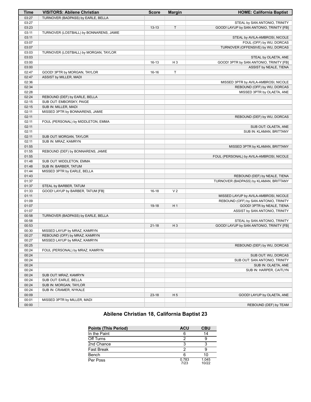| TURNOVER (BADPASS) by EARLE, BELLA<br>03:27<br>STEAL by SAN ANTONIO, TRINITY<br>03:27<br>$\top$<br>03:23<br>$13 - 13$<br>GOOD! LAYUP by SAN ANTONIO, TRINITY [FB]<br>03:11<br>TURNOVER (LOSTBALL) by BONNARENS, JAMIE<br>03:11<br>STEAL by AVILA-AMBROSI, NICOLE<br>FOUL (OFF) by WU, DORCAS<br>03:07<br>TURNOVER (OFFENSIVE) by WU, DORCAS<br>03:07<br>03:03<br>TURNOVER (LOSTBALL) by MORGAN, TAYLOR<br>03:03<br>STEAL by OLAETA, ANE<br>03:00<br>GOOD! 3PTR by SAN ANTONIO, TRINITY [FB]<br>H <sub>3</sub><br>16-13<br>03:00<br>ASSIST by NEALE, TIENA<br>T<br>02:47<br>GOOD! 3PTR by MORGAN, TAYLOR<br>$16-16$<br>02:47<br>ASSIST by MILLER, MADI<br>02:36<br>MISSED 3PTR by AVILA-AMBROSI, NICOLE<br>02:34<br>REBOUND (OFF) by WU, DORCAS<br>02:28<br>MISSED 3PTR by OLAETA, ANE<br>02:24<br>REBOUND (DEF) by EARLE, BELLA<br>02:15<br>SUB OUT: EMBORSKY, PAIGE<br>02:15<br>SUB IN: MILLER, MADI<br>02:11<br>MISSED 3PTR by BONNARENS, JAMIE<br>02:11<br>REBOUND (DEF) by WU, DORCAS<br>02:11<br>FOUL (PERSONAL) by MIDDLETON, EMMA<br>02:11<br>SUB OUT: OLAETA, ANE<br>02:11<br>SUB IN: KLAMAN, BRITTANY<br>02:11<br>SUB OUT: MORGAN, TAYLOR<br>02:11<br>SUB IN: MRAZ, KAMRYN<br>01:55<br>MISSED 3PTR by KLAMAN, BRITTANY<br>01:55<br>REBOUND (DEF) by BONNARENS, JAMIE<br>01:55<br>FOUL (PERSONAL) by AVILA-AMBROSI, NICOLE<br>01:48<br>SUB OUT: MIDDLETON, EMMA<br>01:48<br>SUB IN: BARBER, TATUM<br>01:44<br>MISSED 3PTR by EARLE, BELLA<br>01:43<br>REBOUND (DEF) by NEALE, TIENA<br>01:37<br>TURNOVER (BADPASS) by KLAMAN, BRITTANY<br>01:37<br>STEAL by BARBER, TATUM<br>01:33<br>GOOD! LAYUP by BARBER, TATUM [FB]<br>$16-18$<br>V <sub>2</sub><br>01:11<br>MISSED LAYUP by AVILA-AMBROSI, NICOLE<br>REBOUND (OFF) by SAN ANTONIO, TRINITY<br>01:09<br>01:07<br>19-18<br>H <sub>1</sub><br>GOOD! 3PTR by NEALE, TIENA<br>01:07<br>ASSIST by SAN ANTONIO, TRINITY<br>00:58<br>TURNOVER (BADPASS) by EARLE, BELLA<br>00:58<br>STEAL by SAN ANTONIO, TRINITY<br>00:53<br>$H_3$<br>GOOD! LAYUP by SAN ANTONIO, TRINITY [FB]<br>$21 - 18$<br>00:30<br>MISSED LAYUP by MRAZ, KAMRYN<br>00:27<br>REBOUND (OFF) by MRAZ, KAMRYN<br>00:27<br>MISSED LAYUP by MRAZ, KAMRYN<br>00:25<br>REBOUND (DEF) by WU, DORCAS<br>00:24<br>FOUL (PERSONAL) by MRAZ, KAMRYN<br>00:24<br>SUB OUT: WU, DORCAS<br>00:24<br>SUB OUT: SAN ANTONIO, TRINITY<br>00:24<br>SUB IN: OLAETA, ANE<br>00:24<br>SUB IN: HARPER, CAITLYN<br>00:24<br>SUB OUT: MRAZ, KAMRYN<br>00:24<br>SUB OUT: EARLE, BELLA<br>00:24<br>SUB IN: MORGAN, TAYLOR<br>SUB IN: CRAMER, NYKALE<br>00:24<br>00:09<br>$23-18$<br>H <sub>5</sub><br>GOOD! LAYUP by OLAETA, ANE<br>00:01<br>MISSED 3PTR by MILLER, MADI<br>00:00<br>REBOUND (DEF) by TEAM | <b>Time</b> | <b>VISITORS: Abilene Christian</b> | <b>Score</b> | <b>Margin</b> | <b>HOME: California Baptist</b> |
|---------------------------------------------------------------------------------------------------------------------------------------------------------------------------------------------------------------------------------------------------------------------------------------------------------------------------------------------------------------------------------------------------------------------------------------------------------------------------------------------------------------------------------------------------------------------------------------------------------------------------------------------------------------------------------------------------------------------------------------------------------------------------------------------------------------------------------------------------------------------------------------------------------------------------------------------------------------------------------------------------------------------------------------------------------------------------------------------------------------------------------------------------------------------------------------------------------------------------------------------------------------------------------------------------------------------------------------------------------------------------------------------------------------------------------------------------------------------------------------------------------------------------------------------------------------------------------------------------------------------------------------------------------------------------------------------------------------------------------------------------------------------------------------------------------------------------------------------------------------------------------------------------------------------------------------------------------------------------------------------------------------------------------------------------------------------------------------------------------------------------------------------------------------------------------------------------------------------------------------------------------------------------------------------------------------------------------------------------------------------------------------------------------------------------------------------------------------------------------------------------------------------------------------------------------------------------------------------------------------------------------------------------------------------------------------------------------|-------------|------------------------------------|--------------|---------------|---------------------------------|
|                                                                                                                                                                                                                                                                                                                                                                                                                                                                                                                                                                                                                                                                                                                                                                                                                                                                                                                                                                                                                                                                                                                                                                                                                                                                                                                                                                                                                                                                                                                                                                                                                                                                                                                                                                                                                                                                                                                                                                                                                                                                                                                                                                                                                                                                                                                                                                                                                                                                                                                                                                                                                                                                                                         |             |                                    |              |               |                                 |
|                                                                                                                                                                                                                                                                                                                                                                                                                                                                                                                                                                                                                                                                                                                                                                                                                                                                                                                                                                                                                                                                                                                                                                                                                                                                                                                                                                                                                                                                                                                                                                                                                                                                                                                                                                                                                                                                                                                                                                                                                                                                                                                                                                                                                                                                                                                                                                                                                                                                                                                                                                                                                                                                                                         |             |                                    |              |               |                                 |
|                                                                                                                                                                                                                                                                                                                                                                                                                                                                                                                                                                                                                                                                                                                                                                                                                                                                                                                                                                                                                                                                                                                                                                                                                                                                                                                                                                                                                                                                                                                                                                                                                                                                                                                                                                                                                                                                                                                                                                                                                                                                                                                                                                                                                                                                                                                                                                                                                                                                                                                                                                                                                                                                                                         |             |                                    |              |               |                                 |
|                                                                                                                                                                                                                                                                                                                                                                                                                                                                                                                                                                                                                                                                                                                                                                                                                                                                                                                                                                                                                                                                                                                                                                                                                                                                                                                                                                                                                                                                                                                                                                                                                                                                                                                                                                                                                                                                                                                                                                                                                                                                                                                                                                                                                                                                                                                                                                                                                                                                                                                                                                                                                                                                                                         |             |                                    |              |               |                                 |
|                                                                                                                                                                                                                                                                                                                                                                                                                                                                                                                                                                                                                                                                                                                                                                                                                                                                                                                                                                                                                                                                                                                                                                                                                                                                                                                                                                                                                                                                                                                                                                                                                                                                                                                                                                                                                                                                                                                                                                                                                                                                                                                                                                                                                                                                                                                                                                                                                                                                                                                                                                                                                                                                                                         |             |                                    |              |               |                                 |
|                                                                                                                                                                                                                                                                                                                                                                                                                                                                                                                                                                                                                                                                                                                                                                                                                                                                                                                                                                                                                                                                                                                                                                                                                                                                                                                                                                                                                                                                                                                                                                                                                                                                                                                                                                                                                                                                                                                                                                                                                                                                                                                                                                                                                                                                                                                                                                                                                                                                                                                                                                                                                                                                                                         |             |                                    |              |               |                                 |
|                                                                                                                                                                                                                                                                                                                                                                                                                                                                                                                                                                                                                                                                                                                                                                                                                                                                                                                                                                                                                                                                                                                                                                                                                                                                                                                                                                                                                                                                                                                                                                                                                                                                                                                                                                                                                                                                                                                                                                                                                                                                                                                                                                                                                                                                                                                                                                                                                                                                                                                                                                                                                                                                                                         |             |                                    |              |               |                                 |
|                                                                                                                                                                                                                                                                                                                                                                                                                                                                                                                                                                                                                                                                                                                                                                                                                                                                                                                                                                                                                                                                                                                                                                                                                                                                                                                                                                                                                                                                                                                                                                                                                                                                                                                                                                                                                                                                                                                                                                                                                                                                                                                                                                                                                                                                                                                                                                                                                                                                                                                                                                                                                                                                                                         |             |                                    |              |               |                                 |
|                                                                                                                                                                                                                                                                                                                                                                                                                                                                                                                                                                                                                                                                                                                                                                                                                                                                                                                                                                                                                                                                                                                                                                                                                                                                                                                                                                                                                                                                                                                                                                                                                                                                                                                                                                                                                                                                                                                                                                                                                                                                                                                                                                                                                                                                                                                                                                                                                                                                                                                                                                                                                                                                                                         |             |                                    |              |               |                                 |
|                                                                                                                                                                                                                                                                                                                                                                                                                                                                                                                                                                                                                                                                                                                                                                                                                                                                                                                                                                                                                                                                                                                                                                                                                                                                                                                                                                                                                                                                                                                                                                                                                                                                                                                                                                                                                                                                                                                                                                                                                                                                                                                                                                                                                                                                                                                                                                                                                                                                                                                                                                                                                                                                                                         |             |                                    |              |               |                                 |
|                                                                                                                                                                                                                                                                                                                                                                                                                                                                                                                                                                                                                                                                                                                                                                                                                                                                                                                                                                                                                                                                                                                                                                                                                                                                                                                                                                                                                                                                                                                                                                                                                                                                                                                                                                                                                                                                                                                                                                                                                                                                                                                                                                                                                                                                                                                                                                                                                                                                                                                                                                                                                                                                                                         |             |                                    |              |               |                                 |
|                                                                                                                                                                                                                                                                                                                                                                                                                                                                                                                                                                                                                                                                                                                                                                                                                                                                                                                                                                                                                                                                                                                                                                                                                                                                                                                                                                                                                                                                                                                                                                                                                                                                                                                                                                                                                                                                                                                                                                                                                                                                                                                                                                                                                                                                                                                                                                                                                                                                                                                                                                                                                                                                                                         |             |                                    |              |               |                                 |
|                                                                                                                                                                                                                                                                                                                                                                                                                                                                                                                                                                                                                                                                                                                                                                                                                                                                                                                                                                                                                                                                                                                                                                                                                                                                                                                                                                                                                                                                                                                                                                                                                                                                                                                                                                                                                                                                                                                                                                                                                                                                                                                                                                                                                                                                                                                                                                                                                                                                                                                                                                                                                                                                                                         |             |                                    |              |               |                                 |
|                                                                                                                                                                                                                                                                                                                                                                                                                                                                                                                                                                                                                                                                                                                                                                                                                                                                                                                                                                                                                                                                                                                                                                                                                                                                                                                                                                                                                                                                                                                                                                                                                                                                                                                                                                                                                                                                                                                                                                                                                                                                                                                                                                                                                                                                                                                                                                                                                                                                                                                                                                                                                                                                                                         |             |                                    |              |               |                                 |
|                                                                                                                                                                                                                                                                                                                                                                                                                                                                                                                                                                                                                                                                                                                                                                                                                                                                                                                                                                                                                                                                                                                                                                                                                                                                                                                                                                                                                                                                                                                                                                                                                                                                                                                                                                                                                                                                                                                                                                                                                                                                                                                                                                                                                                                                                                                                                                                                                                                                                                                                                                                                                                                                                                         |             |                                    |              |               |                                 |
|                                                                                                                                                                                                                                                                                                                                                                                                                                                                                                                                                                                                                                                                                                                                                                                                                                                                                                                                                                                                                                                                                                                                                                                                                                                                                                                                                                                                                                                                                                                                                                                                                                                                                                                                                                                                                                                                                                                                                                                                                                                                                                                                                                                                                                                                                                                                                                                                                                                                                                                                                                                                                                                                                                         |             |                                    |              |               |                                 |
|                                                                                                                                                                                                                                                                                                                                                                                                                                                                                                                                                                                                                                                                                                                                                                                                                                                                                                                                                                                                                                                                                                                                                                                                                                                                                                                                                                                                                                                                                                                                                                                                                                                                                                                                                                                                                                                                                                                                                                                                                                                                                                                                                                                                                                                                                                                                                                                                                                                                                                                                                                                                                                                                                                         |             |                                    |              |               |                                 |
|                                                                                                                                                                                                                                                                                                                                                                                                                                                                                                                                                                                                                                                                                                                                                                                                                                                                                                                                                                                                                                                                                                                                                                                                                                                                                                                                                                                                                                                                                                                                                                                                                                                                                                                                                                                                                                                                                                                                                                                                                                                                                                                                                                                                                                                                                                                                                                                                                                                                                                                                                                                                                                                                                                         |             |                                    |              |               |                                 |
|                                                                                                                                                                                                                                                                                                                                                                                                                                                                                                                                                                                                                                                                                                                                                                                                                                                                                                                                                                                                                                                                                                                                                                                                                                                                                                                                                                                                                                                                                                                                                                                                                                                                                                                                                                                                                                                                                                                                                                                                                                                                                                                                                                                                                                                                                                                                                                                                                                                                                                                                                                                                                                                                                                         |             |                                    |              |               |                                 |
|                                                                                                                                                                                                                                                                                                                                                                                                                                                                                                                                                                                                                                                                                                                                                                                                                                                                                                                                                                                                                                                                                                                                                                                                                                                                                                                                                                                                                                                                                                                                                                                                                                                                                                                                                                                                                                                                                                                                                                                                                                                                                                                                                                                                                                                                                                                                                                                                                                                                                                                                                                                                                                                                                                         |             |                                    |              |               |                                 |
|                                                                                                                                                                                                                                                                                                                                                                                                                                                                                                                                                                                                                                                                                                                                                                                                                                                                                                                                                                                                                                                                                                                                                                                                                                                                                                                                                                                                                                                                                                                                                                                                                                                                                                                                                                                                                                                                                                                                                                                                                                                                                                                                                                                                                                                                                                                                                                                                                                                                                                                                                                                                                                                                                                         |             |                                    |              |               |                                 |
|                                                                                                                                                                                                                                                                                                                                                                                                                                                                                                                                                                                                                                                                                                                                                                                                                                                                                                                                                                                                                                                                                                                                                                                                                                                                                                                                                                                                                                                                                                                                                                                                                                                                                                                                                                                                                                                                                                                                                                                                                                                                                                                                                                                                                                                                                                                                                                                                                                                                                                                                                                                                                                                                                                         |             |                                    |              |               |                                 |
|                                                                                                                                                                                                                                                                                                                                                                                                                                                                                                                                                                                                                                                                                                                                                                                                                                                                                                                                                                                                                                                                                                                                                                                                                                                                                                                                                                                                                                                                                                                                                                                                                                                                                                                                                                                                                                                                                                                                                                                                                                                                                                                                                                                                                                                                                                                                                                                                                                                                                                                                                                                                                                                                                                         |             |                                    |              |               |                                 |
|                                                                                                                                                                                                                                                                                                                                                                                                                                                                                                                                                                                                                                                                                                                                                                                                                                                                                                                                                                                                                                                                                                                                                                                                                                                                                                                                                                                                                                                                                                                                                                                                                                                                                                                                                                                                                                                                                                                                                                                                                                                                                                                                                                                                                                                                                                                                                                                                                                                                                                                                                                                                                                                                                                         |             |                                    |              |               |                                 |
|                                                                                                                                                                                                                                                                                                                                                                                                                                                                                                                                                                                                                                                                                                                                                                                                                                                                                                                                                                                                                                                                                                                                                                                                                                                                                                                                                                                                                                                                                                                                                                                                                                                                                                                                                                                                                                                                                                                                                                                                                                                                                                                                                                                                                                                                                                                                                                                                                                                                                                                                                                                                                                                                                                         |             |                                    |              |               |                                 |
|                                                                                                                                                                                                                                                                                                                                                                                                                                                                                                                                                                                                                                                                                                                                                                                                                                                                                                                                                                                                                                                                                                                                                                                                                                                                                                                                                                                                                                                                                                                                                                                                                                                                                                                                                                                                                                                                                                                                                                                                                                                                                                                                                                                                                                                                                                                                                                                                                                                                                                                                                                                                                                                                                                         |             |                                    |              |               |                                 |
|                                                                                                                                                                                                                                                                                                                                                                                                                                                                                                                                                                                                                                                                                                                                                                                                                                                                                                                                                                                                                                                                                                                                                                                                                                                                                                                                                                                                                                                                                                                                                                                                                                                                                                                                                                                                                                                                                                                                                                                                                                                                                                                                                                                                                                                                                                                                                                                                                                                                                                                                                                                                                                                                                                         |             |                                    |              |               |                                 |
|                                                                                                                                                                                                                                                                                                                                                                                                                                                                                                                                                                                                                                                                                                                                                                                                                                                                                                                                                                                                                                                                                                                                                                                                                                                                                                                                                                                                                                                                                                                                                                                                                                                                                                                                                                                                                                                                                                                                                                                                                                                                                                                                                                                                                                                                                                                                                                                                                                                                                                                                                                                                                                                                                                         |             |                                    |              |               |                                 |
|                                                                                                                                                                                                                                                                                                                                                                                                                                                                                                                                                                                                                                                                                                                                                                                                                                                                                                                                                                                                                                                                                                                                                                                                                                                                                                                                                                                                                                                                                                                                                                                                                                                                                                                                                                                                                                                                                                                                                                                                                                                                                                                                                                                                                                                                                                                                                                                                                                                                                                                                                                                                                                                                                                         |             |                                    |              |               |                                 |
|                                                                                                                                                                                                                                                                                                                                                                                                                                                                                                                                                                                                                                                                                                                                                                                                                                                                                                                                                                                                                                                                                                                                                                                                                                                                                                                                                                                                                                                                                                                                                                                                                                                                                                                                                                                                                                                                                                                                                                                                                                                                                                                                                                                                                                                                                                                                                                                                                                                                                                                                                                                                                                                                                                         |             |                                    |              |               |                                 |
|                                                                                                                                                                                                                                                                                                                                                                                                                                                                                                                                                                                                                                                                                                                                                                                                                                                                                                                                                                                                                                                                                                                                                                                                                                                                                                                                                                                                                                                                                                                                                                                                                                                                                                                                                                                                                                                                                                                                                                                                                                                                                                                                                                                                                                                                                                                                                                                                                                                                                                                                                                                                                                                                                                         |             |                                    |              |               |                                 |
|                                                                                                                                                                                                                                                                                                                                                                                                                                                                                                                                                                                                                                                                                                                                                                                                                                                                                                                                                                                                                                                                                                                                                                                                                                                                                                                                                                                                                                                                                                                                                                                                                                                                                                                                                                                                                                                                                                                                                                                                                                                                                                                                                                                                                                                                                                                                                                                                                                                                                                                                                                                                                                                                                                         |             |                                    |              |               |                                 |
|                                                                                                                                                                                                                                                                                                                                                                                                                                                                                                                                                                                                                                                                                                                                                                                                                                                                                                                                                                                                                                                                                                                                                                                                                                                                                                                                                                                                                                                                                                                                                                                                                                                                                                                                                                                                                                                                                                                                                                                                                                                                                                                                                                                                                                                                                                                                                                                                                                                                                                                                                                                                                                                                                                         |             |                                    |              |               |                                 |
|                                                                                                                                                                                                                                                                                                                                                                                                                                                                                                                                                                                                                                                                                                                                                                                                                                                                                                                                                                                                                                                                                                                                                                                                                                                                                                                                                                                                                                                                                                                                                                                                                                                                                                                                                                                                                                                                                                                                                                                                                                                                                                                                                                                                                                                                                                                                                                                                                                                                                                                                                                                                                                                                                                         |             |                                    |              |               |                                 |
|                                                                                                                                                                                                                                                                                                                                                                                                                                                                                                                                                                                                                                                                                                                                                                                                                                                                                                                                                                                                                                                                                                                                                                                                                                                                                                                                                                                                                                                                                                                                                                                                                                                                                                                                                                                                                                                                                                                                                                                                                                                                                                                                                                                                                                                                                                                                                                                                                                                                                                                                                                                                                                                                                                         |             |                                    |              |               |                                 |
|                                                                                                                                                                                                                                                                                                                                                                                                                                                                                                                                                                                                                                                                                                                                                                                                                                                                                                                                                                                                                                                                                                                                                                                                                                                                                                                                                                                                                                                                                                                                                                                                                                                                                                                                                                                                                                                                                                                                                                                                                                                                                                                                                                                                                                                                                                                                                                                                                                                                                                                                                                                                                                                                                                         |             |                                    |              |               |                                 |
|                                                                                                                                                                                                                                                                                                                                                                                                                                                                                                                                                                                                                                                                                                                                                                                                                                                                                                                                                                                                                                                                                                                                                                                                                                                                                                                                                                                                                                                                                                                                                                                                                                                                                                                                                                                                                                                                                                                                                                                                                                                                                                                                                                                                                                                                                                                                                                                                                                                                                                                                                                                                                                                                                                         |             |                                    |              |               |                                 |
|                                                                                                                                                                                                                                                                                                                                                                                                                                                                                                                                                                                                                                                                                                                                                                                                                                                                                                                                                                                                                                                                                                                                                                                                                                                                                                                                                                                                                                                                                                                                                                                                                                                                                                                                                                                                                                                                                                                                                                                                                                                                                                                                                                                                                                                                                                                                                                                                                                                                                                                                                                                                                                                                                                         |             |                                    |              |               |                                 |
|                                                                                                                                                                                                                                                                                                                                                                                                                                                                                                                                                                                                                                                                                                                                                                                                                                                                                                                                                                                                                                                                                                                                                                                                                                                                                                                                                                                                                                                                                                                                                                                                                                                                                                                                                                                                                                                                                                                                                                                                                                                                                                                                                                                                                                                                                                                                                                                                                                                                                                                                                                                                                                                                                                         |             |                                    |              |               |                                 |
|                                                                                                                                                                                                                                                                                                                                                                                                                                                                                                                                                                                                                                                                                                                                                                                                                                                                                                                                                                                                                                                                                                                                                                                                                                                                                                                                                                                                                                                                                                                                                                                                                                                                                                                                                                                                                                                                                                                                                                                                                                                                                                                                                                                                                                                                                                                                                                                                                                                                                                                                                                                                                                                                                                         |             |                                    |              |               |                                 |
|                                                                                                                                                                                                                                                                                                                                                                                                                                                                                                                                                                                                                                                                                                                                                                                                                                                                                                                                                                                                                                                                                                                                                                                                                                                                                                                                                                                                                                                                                                                                                                                                                                                                                                                                                                                                                                                                                                                                                                                                                                                                                                                                                                                                                                                                                                                                                                                                                                                                                                                                                                                                                                                                                                         |             |                                    |              |               |                                 |
|                                                                                                                                                                                                                                                                                                                                                                                                                                                                                                                                                                                                                                                                                                                                                                                                                                                                                                                                                                                                                                                                                                                                                                                                                                                                                                                                                                                                                                                                                                                                                                                                                                                                                                                                                                                                                                                                                                                                                                                                                                                                                                                                                                                                                                                                                                                                                                                                                                                                                                                                                                                                                                                                                                         |             |                                    |              |               |                                 |
|                                                                                                                                                                                                                                                                                                                                                                                                                                                                                                                                                                                                                                                                                                                                                                                                                                                                                                                                                                                                                                                                                                                                                                                                                                                                                                                                                                                                                                                                                                                                                                                                                                                                                                                                                                                                                                                                                                                                                                                                                                                                                                                                                                                                                                                                                                                                                                                                                                                                                                                                                                                                                                                                                                         |             |                                    |              |               |                                 |
|                                                                                                                                                                                                                                                                                                                                                                                                                                                                                                                                                                                                                                                                                                                                                                                                                                                                                                                                                                                                                                                                                                                                                                                                                                                                                                                                                                                                                                                                                                                                                                                                                                                                                                                                                                                                                                                                                                                                                                                                                                                                                                                                                                                                                                                                                                                                                                                                                                                                                                                                                                                                                                                                                                         |             |                                    |              |               |                                 |
|                                                                                                                                                                                                                                                                                                                                                                                                                                                                                                                                                                                                                                                                                                                                                                                                                                                                                                                                                                                                                                                                                                                                                                                                                                                                                                                                                                                                                                                                                                                                                                                                                                                                                                                                                                                                                                                                                                                                                                                                                                                                                                                                                                                                                                                                                                                                                                                                                                                                                                                                                                                                                                                                                                         |             |                                    |              |               |                                 |
|                                                                                                                                                                                                                                                                                                                                                                                                                                                                                                                                                                                                                                                                                                                                                                                                                                                                                                                                                                                                                                                                                                                                                                                                                                                                                                                                                                                                                                                                                                                                                                                                                                                                                                                                                                                                                                                                                                                                                                                                                                                                                                                                                                                                                                                                                                                                                                                                                                                                                                                                                                                                                                                                                                         |             |                                    |              |               |                                 |
|                                                                                                                                                                                                                                                                                                                                                                                                                                                                                                                                                                                                                                                                                                                                                                                                                                                                                                                                                                                                                                                                                                                                                                                                                                                                                                                                                                                                                                                                                                                                                                                                                                                                                                                                                                                                                                                                                                                                                                                                                                                                                                                                                                                                                                                                                                                                                                                                                                                                                                                                                                                                                                                                                                         |             |                                    |              |               |                                 |
|                                                                                                                                                                                                                                                                                                                                                                                                                                                                                                                                                                                                                                                                                                                                                                                                                                                                                                                                                                                                                                                                                                                                                                                                                                                                                                                                                                                                                                                                                                                                                                                                                                                                                                                                                                                                                                                                                                                                                                                                                                                                                                                                                                                                                                                                                                                                                                                                                                                                                                                                                                                                                                                                                                         |             |                                    |              |               |                                 |
|                                                                                                                                                                                                                                                                                                                                                                                                                                                                                                                                                                                                                                                                                                                                                                                                                                                                                                                                                                                                                                                                                                                                                                                                                                                                                                                                                                                                                                                                                                                                                                                                                                                                                                                                                                                                                                                                                                                                                                                                                                                                                                                                                                                                                                                                                                                                                                                                                                                                                                                                                                                                                                                                                                         |             |                                    |              |               |                                 |
|                                                                                                                                                                                                                                                                                                                                                                                                                                                                                                                                                                                                                                                                                                                                                                                                                                                                                                                                                                                                                                                                                                                                                                                                                                                                                                                                                                                                                                                                                                                                                                                                                                                                                                                                                                                                                                                                                                                                                                                                                                                                                                                                                                                                                                                                                                                                                                                                                                                                                                                                                                                                                                                                                                         |             |                                    |              |               |                                 |
|                                                                                                                                                                                                                                                                                                                                                                                                                                                                                                                                                                                                                                                                                                                                                                                                                                                                                                                                                                                                                                                                                                                                                                                                                                                                                                                                                                                                                                                                                                                                                                                                                                                                                                                                                                                                                                                                                                                                                                                                                                                                                                                                                                                                                                                                                                                                                                                                                                                                                                                                                                                                                                                                                                         |             |                                    |              |               |                                 |
|                                                                                                                                                                                                                                                                                                                                                                                                                                                                                                                                                                                                                                                                                                                                                                                                                                                                                                                                                                                                                                                                                                                                                                                                                                                                                                                                                                                                                                                                                                                                                                                                                                                                                                                                                                                                                                                                                                                                                                                                                                                                                                                                                                                                                                                                                                                                                                                                                                                                                                                                                                                                                                                                                                         |             |                                    |              |               |                                 |
|                                                                                                                                                                                                                                                                                                                                                                                                                                                                                                                                                                                                                                                                                                                                                                                                                                                                                                                                                                                                                                                                                                                                                                                                                                                                                                                                                                                                                                                                                                                                                                                                                                                                                                                                                                                                                                                                                                                                                                                                                                                                                                                                                                                                                                                                                                                                                                                                                                                                                                                                                                                                                                                                                                         |             |                                    |              |               |                                 |
|                                                                                                                                                                                                                                                                                                                                                                                                                                                                                                                                                                                                                                                                                                                                                                                                                                                                                                                                                                                                                                                                                                                                                                                                                                                                                                                                                                                                                                                                                                                                                                                                                                                                                                                                                                                                                                                                                                                                                                                                                                                                                                                                                                                                                                                                                                                                                                                                                                                                                                                                                                                                                                                                                                         |             |                                    |              |               |                                 |
|                                                                                                                                                                                                                                                                                                                                                                                                                                                                                                                                                                                                                                                                                                                                                                                                                                                                                                                                                                                                                                                                                                                                                                                                                                                                                                                                                                                                                                                                                                                                                                                                                                                                                                                                                                                                                                                                                                                                                                                                                                                                                                                                                                                                                                                                                                                                                                                                                                                                                                                                                                                                                                                                                                         |             |                                    |              |               |                                 |
|                                                                                                                                                                                                                                                                                                                                                                                                                                                                                                                                                                                                                                                                                                                                                                                                                                                                                                                                                                                                                                                                                                                                                                                                                                                                                                                                                                                                                                                                                                                                                                                                                                                                                                                                                                                                                                                                                                                                                                                                                                                                                                                                                                                                                                                                                                                                                                                                                                                                                                                                                                                                                                                                                                         |             |                                    |              |               |                                 |
|                                                                                                                                                                                                                                                                                                                                                                                                                                                                                                                                                                                                                                                                                                                                                                                                                                                                                                                                                                                                                                                                                                                                                                                                                                                                                                                                                                                                                                                                                                                                                                                                                                                                                                                                                                                                                                                                                                                                                                                                                                                                                                                                                                                                                                                                                                                                                                                                                                                                                                                                                                                                                                                                                                         |             |                                    |              |               |                                 |
|                                                                                                                                                                                                                                                                                                                                                                                                                                                                                                                                                                                                                                                                                                                                                                                                                                                                                                                                                                                                                                                                                                                                                                                                                                                                                                                                                                                                                                                                                                                                                                                                                                                                                                                                                                                                                                                                                                                                                                                                                                                                                                                                                                                                                                                                                                                                                                                                                                                                                                                                                                                                                                                                                                         |             |                                    |              |               |                                 |
|                                                                                                                                                                                                                                                                                                                                                                                                                                                                                                                                                                                                                                                                                                                                                                                                                                                                                                                                                                                                                                                                                                                                                                                                                                                                                                                                                                                                                                                                                                                                                                                                                                                                                                                                                                                                                                                                                                                                                                                                                                                                                                                                                                                                                                                                                                                                                                                                                                                                                                                                                                                                                                                                                                         |             |                                    |              |               |                                 |

# **Abilene Christian 18, California Baptist 23**

| <b>Points (This Period)</b> | <b>ACU</b>    | <b>CBU</b>     |
|-----------------------------|---------------|----------------|
| In the Paint                | 6             | 14             |
| Off Turns                   |               |                |
| 2nd Chance                  | 3             |                |
| <b>Fast Break</b>           | ◠             |                |
| Bench                       | 6             | 10             |
| Per Poss                    | 0.783<br>7/23 | 1.045<br>10/22 |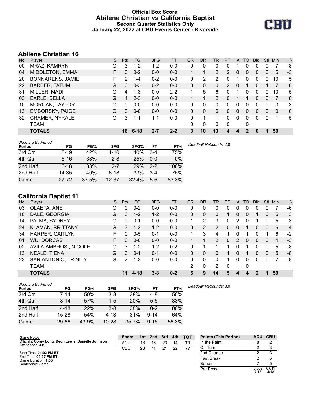## **Official Box Score Abilene Christian vs California Baptist Second Quarter Statistics Only January 22, 2022 at CBU Events Center - Riverside**



# **Abilene Christian 16**

| No. | Player                  | S. | <b>Pts</b> | <b>FG</b> | 3FG     | <b>FT</b> | 0R       | DR           | TR             | PF            | A        | TO | <b>Blk</b> | Stl          | Min      | $+/-$        |
|-----|-------------------------|----|------------|-----------|---------|-----------|----------|--------------|----------------|---------------|----------|----|------------|--------------|----------|--------------|
| 00  | MRAZ, KAMRYN            | G  | 3          | $1 - 2$   | 1-2     | $0 - 0$   | 0        | 0            | 0              | 0             |          | 0  | 0          |              |          | 8            |
| 04  | <b>MIDDLETON, EMMA</b>  | F  | 0          | $0 - 2$   | $0-0$   | $0-0$     |          |              | $\overline{2}$ | $\mathcal{P}$ | 0        | 0  | 0          | 0            | 5        | -3           |
| 20  | <b>BONNARENS, JAMIE</b> | F  | 2          | $1 - 4$   | $0 - 2$ | $0 - 0$   | 0        | 2            | 2              | 0             |          | 0  | 0          | 0            | 10       | 5            |
| 22  | <b>BARBER, TATUM</b>    | G  | 0          | $0 - 3$   | $0 - 2$ | $0 - 0$   | 0        | 0            | 0              | 2             | $\Omega$ |    | 0          |              | 7        | 0            |
| 31  | MILLER, MADI            | G  | 4          | $1 - 3$   | $0-0$   | $2 - 2$   | 1        | 5            | 6              | 0             |          | 0  | 0          | 0            | 10       | 5            |
| 03  | EARLE, BELLA            | G  | 4          | $2 - 3$   | $0 - 0$ | $0 - 0$   |          |              | 2              | 0             |          |    | 0          | $\mathbf{0}$ | 7        | 8            |
| 10  | <b>MORGAN, TAYLOR</b>   | G  | 0          | $0 - 0$   | $0 - 0$ | $0 - 0$   | 0        | 0            | 0              | 0             | 0        | O  | 0          | 0            | 3        | -3           |
| 13  | <b>EMBORSKY, PAIGE</b>  | G  | 0          | $0 - 0$   | $0 - 0$ | $0 - 0$   | $\Omega$ | 0            | 0              | 0             | 0        | 0  | 0          | $\mathbf{0}$ | $\Omega$ | $\mathbf{0}$ |
| 32  | <b>CRAMER, NYKALE</b>   | G  | 3          | 1-1       | 1-1     | $0 - 0$   | 0        |              |                | 0             | $\Omega$ | 0  | 0          | 0            | 1        | 5            |
|     | TEAM                    |    |            |           |         |           | 0        | $\mathbf{0}$ | 0              | $\mathbf 0$   |          | 0  |            |              |          |              |
|     | <b>TOTALS</b>           |    | 16         | $6 - 18$  | $2 - 7$ | $2 - 2$   | 3        | 10           | 13             | 4             |          | 2  | 0          |              | 50       |              |

| <b>Shooting By Period</b><br>Period | FG       | FG%   | 3FG       | 3FG%  | FT      | FT%   | Deadball Rebounds: 2,0 |
|-------------------------------------|----------|-------|-----------|-------|---------|-------|------------------------|
| 3rd Qtr                             | $8 - 19$ | 42%   | $4 - 10$  | 40%   | $3 - 4$ | 75%   |                        |
| 4th Qtr                             | $6 - 16$ | 38%   | $2 - 8$   | 25%   | $0 - 0$ | 0%    |                        |
| 2nd Half                            | $6 - 18$ | 33%   | $2 - 7$   | 29%   | $2 - 2$ | 100%  |                        |
| 2nd Half                            | 14-35    | 40%   | $6 - 18$  | 33%   | $3 - 4$ | 75%   |                        |
| Game                                | 27-72    | 37.5% | $12 - 37$ | 32.4% | $5-6$   | 83.3% |                        |

# **California Baptist 11**

| No. | Player                  | S  | <b>Pts</b> | <b>FG</b> | 3FG     | <b>FT</b> | <b>OR</b> | <b>DR</b> | <b>TR</b>      | PF | A            | TO       | <b>Blk</b> | <b>Stl</b>   | Min            | $+/-$          |
|-----|-------------------------|----|------------|-----------|---------|-----------|-----------|-----------|----------------|----|--------------|----------|------------|--------------|----------------|----------------|
| 03  | OLAETA, ANE             | G  | $\Omega$   | $0 - 2$   | $0 - 0$ | $0-0$     | 0         | 0         | 0              | 0  | 0            | 0        | 0          | 0            |                | -6             |
| 10  | DALE, GEORGIA           | G  | 3          | $1 - 2$   | $1 - 2$ | $0 - 0$   | $\Omega$  | 0         | 0              |    | 0            | $\Omega$ | 1          | 0            | 5              | 3              |
| 14  | PALMA, SYDNEY           | G  | $\Omega$   | $0 - 1$   | $0 - 0$ | $0 - 0$   | 1         | 2         | 3              | 0  | 2            | $\Omega$ | 1          | 0            | 5              | 3              |
| 24  | <b>KLAMAN, BRITTANY</b> | G  | 3          | $1 - 2$   | $1 - 2$ | $0 - 0$   | 0         | 2         | $\overline{2}$ | 0  | $\mathbf{0}$ |          | 0          | $\Omega$     | 6              | $\overline{4}$ |
| 34  | HARPER, CAITLYN         | F. | 0          | $0 - 5$   | $0 - 1$ | $0-0$     |           | 3         | 4              |    |              |          | 0          |              | 6              | $-2$           |
| 01  | <b>WU, DORCAS</b>       | F. | 0          | $0 - 0$   | $0 - 0$ | $0 - 0$   |           |           | $\overline{2}$ | 0  | 2            | $\Omega$ | 0          | $\mathbf{0}$ | $\overline{4}$ | $-3$           |
| 02  | AVILA-AMBROSI, NICOLE   | G  | 3          | $1 - 2$   | $1 - 2$ | $0 - 2$   | 0         |           |                |    | 0            |          | 0          | 0            | 5              | -8             |
| 13  | NEALE, TIENA            | G  | $\Omega$   | $0 - 1$   | $0 - 1$ | $0 - 0$   | $\Omega$  | 0         | 0              |    | 0            |          | 0          | $\Omega$     | 5              | -8             |
| 23  | SAN ANTONIO, TRINITY    | G  | 2          | $1 - 3$   | $0 - 0$ | $0-0$     | 0         | 0         | $\Omega$       | 1  | $\Omega$     | $\Omega$ | 0          | 0            |                | -8             |
|     | <b>TEAM</b>             |    |            |           |         |           | 2         | 0         | 2              | 0  |              | 0        |            |              |                |                |
|     | <b>TOTALS</b>           |    | 11         | $4 - 18$  | $3 - 8$ | $0 - 2$   | 5         | 9         | 14             | 5  |              |          |            |              | 50             |                |

| <b>Shooting By Period</b><br>Period | FG       | FG%   | 3FG       | 3FG%       | FT       | FT%   | Deadball Rebounds: 3,0 |
|-------------------------------------|----------|-------|-----------|------------|----------|-------|------------------------|
| 3rd Qtr                             | 7-14     | 50%   | $3 - 8$   | 38%        | 4-8      | 50%   |                        |
| 4th Qtr                             | $8 - 14$ | 57%   | $1 - 5$   | <b>20%</b> | $5-6$    | 83%   |                        |
| 2nd Half                            | $4 - 18$ | 22%   | $3 - 8$   | 38%        | 0-2      | 00%   |                        |
| 2nd Half                            | 15-28    | 54%   | $4 - 13$  | 31%        | $9 - 14$ | 64%   |                        |
| Game                                | 29-66    | 43.9% | $10 - 28$ | 35.7%      | $9 - 16$ | 56.3% |                        |

| Game Notes:                                                            | <b>Score</b> |    |    |    |    | 1st 2nd 3rd 4th TOT | <b>Points (This Period)</b> |               | ACU CBU       |
|------------------------------------------------------------------------|--------------|----|----|----|----|---------------------|-----------------------------|---------------|---------------|
| Officials: Corey Long, Deon Lewis, Danielle Johnson<br>Attendance: 419 | <b>ACU</b>   | 18 | 16 | 23 | 14 | 71                  | In the Paint                |               |               |
|                                                                        | CBU          | 23 |    | 21 | 22 | 77                  | Off Turns                   |               |               |
| Start Time: 04:02 PM ET                                                |              |    |    |    |    |                     | 2nd Chance                  |               |               |
| End Time: 05:57 PM ET<br>Game Duration: 1:55                           |              |    |    |    |    |                     | <b>Fast Break</b>           |               |               |
| Conference Game:                                                       |              |    |    |    |    |                     | Bench                       |               |               |
|                                                                        |              |    |    |    |    |                     | Per Poss                    | 0.889<br>7/18 | 0.611<br>4/18 |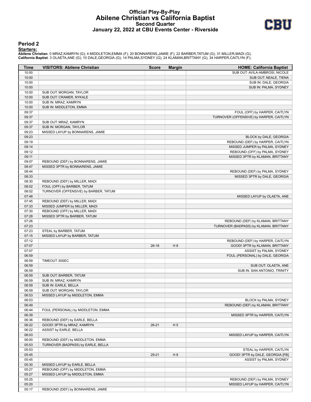## **Official Play-By-Play Abilene Christian vs California Baptist Second Quarter January 22, 2022 at CBU Events Center - Riverside**



#### **Period 2**

#### **Starters:**

Abilene Christian: 0 MRAZ,KAMRYN (G); 4 MIDDLETON,EMMA (F); 20 BONNARENS,JAMIE (F); 22 BARBER,TATUM (G); 31 MILLER,MADI (G);<br>California Baptist: 3 OLAETA,ANE (G); 10 DALE,GEORGIA (G); 14 PALMA,SYDNEY (G); 24 KLAMAN,BRITTAN

| <b>Time</b>    | <b>VISITORS: Abilene Christian</b>    | <b>Score</b> | <b>Margin</b>  | <b>HOME: California Baptist</b>         |
|----------------|---------------------------------------|--------------|----------------|-----------------------------------------|
| 10:00          |                                       |              |                | SUB OUT: AVILA-AMBROSI, NICOLE          |
| 10:00          |                                       |              |                | SUB OUT: NEALE, TIENA                   |
| 10:00          |                                       |              |                | SUB IN: DALE, GEORGIA                   |
| 10:00          |                                       |              |                | SUB IN: PALMA, SYDNEY                   |
| 10:00          | SUB OUT: MORGAN, TAYLOR               |              |                |                                         |
| 10:00          | SUB OUT: CRAMER, NYKALE               |              |                |                                         |
| 10:00          | SUB IN: MRAZ, KAMRYN                  |              |                |                                         |
| 10:00          | SUB IN: MIDDLETON, EMMA               |              |                |                                         |
| 09:37          |                                       |              |                | FOUL (OFF) by HARPER, CAITLYN           |
| 09:37          |                                       |              |                | TURNOVER (OFFENSIVE) by HARPER, CAITLYN |
| 09:37<br>09:37 | SUB OUT: MRAZ, KAMRYN                 |              |                |                                         |
| 09:23          | SUB IN: MORGAN, TAYLOR                |              |                |                                         |
| 09:23          | MISSED LAYUP by BONNARENS, JAMIE      |              |                | BLOCK by DALE, GEORGIA                  |
| 09:19          |                                       |              |                | REBOUND (DEF) by HARPER, CAITLYN        |
| 09:14          |                                       |              |                | MISSED JUMPER by PALMA, SYDNEY          |
| 09:12          |                                       |              |                | REBOUND (OFF) by PALMA, SYDNEY          |
| 09:11          |                                       |              |                | MISSED 3PTR by KLAMAN, BRITTANY         |
| 09:07          | REBOUND (DEF) by BONNARENS, JAMIE     |              |                |                                         |
| 08:47          | MISSED 3PTR by BONNARENS, JAMIE       |              |                |                                         |
| 08:44          |                                       |              |                | REBOUND (DEF) by PALMA, SYDNEY          |
| 08:33          |                                       |              |                | MISSED 3PTR by DALE, GEORGIA            |
| 08:30          | REBOUND (DEF) by MILLER, MADI         |              |                |                                         |
| 08:02          | FOUL (OFF) by BARBER, TATUM           |              |                |                                         |
| 08:02          | TURNOVER (OFFENSIVE) by BARBER, TATUM |              |                |                                         |
| 07:48          |                                       |              |                | MISSED LAYUP by OLAETA, ANE             |
| 07:45          | REBOUND (DEF) by MILLER, MADI         |              |                |                                         |
| 07:33          | MISSED JUMPER by MILLER, MADI         |              |                |                                         |
| 07:30          | REBOUND (OFF) by MILLER, MADI         |              |                |                                         |
| 07:28          | MISSED 3PTR by BARBER, TATUM          |              |                |                                         |
| 07:26          |                                       |              |                | REBOUND (DEF) by KLAMAN, BRITTANY       |
| 07:23          |                                       |              |                | TURNOVER (BADPASS) by KLAMAN, BRITTANY  |
| 07:23          | STEAL by BARBER, TATUM                |              |                |                                         |
| 07:15          | MISSED LAYUP by BARBER, TATUM         |              |                |                                         |
| 07:12          |                                       |              |                | REBOUND (DEF) by HARPER, CAITLYN        |
| 07:07          |                                       | $26-18$      | H <sub>8</sub> | GOOD! 3PTR by KLAMAN, BRITTANY          |
| 07:07          |                                       |              |                | ASSIST by PALMA, SYDNEY                 |
| 06:59          |                                       |              |                | FOUL (PERSONAL) by DALE, GEORGIA        |
| 06:59<br>06:59 | TIMEOUT 30SEC                         |              |                | SUB OUT: OLAETA, ANE                    |
| 06:59          |                                       |              |                | SUB IN: SAN ANTONIO, TRINITY            |
| 06:59          | SUB OUT: BARBER, TATUM                |              |                |                                         |
| 06:59          | SUB IN: MRAZ, KAMRYN                  |              |                |                                         |
| 06:59          | SUB IN: EARLE, BELLA                  |              |                |                                         |
| 06:59          | SUB OUT: MORGAN, TAYLOR               |              |                |                                         |
| 06:53          | MISSED LAYUP by MIDDLETON, EMMA       |              |                |                                         |
| 06:53          |                                       |              |                | BLOCK by PALMA, SYDNEY                  |
| 06:49          |                                       |              |                | REBOUND (DEF) by KLAMAN, BRITTANY       |
| 06:44          | FOUL (PERSONAL) by MIDDLETON, EMMA    |              |                |                                         |
| 06:39          |                                       |              |                | MISSED 3PTR by HARPER, CAITLYN          |
| 06:36          | REBOUND (DEF) by EARLE, BELLA         |              |                |                                         |
| 06:22          | GOOD! 3PTR by MRAZ, KAMRYN            | $26 - 21$    | H <sub>5</sub> |                                         |
| 06:22          | ASSIST by EARLE, BELLA                |              |                |                                         |
| 06:03          |                                       |              |                | MISSED LAYUP by HARPER, CAITLYN         |
| 06:00          | REBOUND (DEF) by MIDDLETON, EMMA      |              |                |                                         |
| 05:53          | TURNOVER (BADPASS) by EARLE, BELLA    |              |                |                                         |
| 05:53          |                                       |              |                | STEAL by HARPER, CAITLYN                |
| 05:45          |                                       | 29-21        | H 8            | GOOD! 3PTR by DALE, GEORGIA [FB]        |
| 05:45          |                                       |              |                | ASSIST by PALMA, SYDNEY                 |
| 05:30          | MISSED LAYUP by EARLE, BELLA          |              |                |                                         |
| 05:27          | REBOUND (OFF) by MIDDLETON, EMMA      |              |                |                                         |
| 05:27          | MISSED LAYUP by MIDDLETON, EMMA       |              |                |                                         |
| 05:25          |                                       |              |                | REBOUND (DEF) by PALMA, SYDNEY          |
| 05:20          |                                       |              |                | MISSED LAYUP by HARPER, CAITLYN         |
| 05:17          | REBOUND (DEF) by BONNARENS, JAMIE     |              |                |                                         |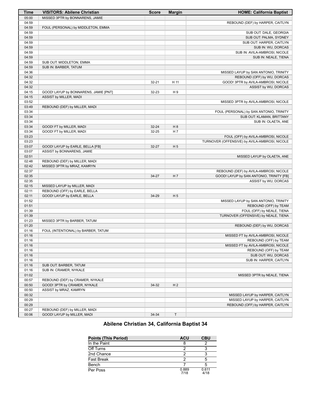| <b>Time</b> | <b>VISITORS: Abilene Christian</b>    | <b>Score</b> | <b>Margin</b>  | <b>HOME: California Baptist</b>               |
|-------------|---------------------------------------|--------------|----------------|-----------------------------------------------|
| 05:00       | MISSED 3PTR by BONNARENS, JAMIE       |              |                |                                               |
| 04:59       |                                       |              |                | REBOUND (DEF) by HARPER, CAITLYN              |
| 04:59       | FOUL (PERSONAL) by MIDDLETON, EMMA    |              |                |                                               |
| 04:59       |                                       |              |                | SUB OUT: DALE, GEORGIA                        |
| 04:59       |                                       |              |                | SUB OUT: PALMA, SYDNEY                        |
| 04:59       |                                       |              |                | SUB OUT: HARPER, CAITLYN                      |
| 04:59       |                                       |              |                | SUB IN: WU, DORCAS                            |
| 04:59       |                                       |              |                | SUB IN: AVILA-AMBROSI, NICOLE                 |
| 04:59       |                                       |              |                | SUB IN: NEALE, TIENA                          |
| 04:59       | SUB OUT: MIDDLETON, EMMA              |              |                |                                               |
| 04:59       | SUB IN: BARBER, TATUM                 |              |                |                                               |
| 04:36       |                                       |              |                | MISSED LAYUP by SAN ANTONIO, TRINITY          |
| 04:32       |                                       |              |                | REBOUND (OFF) by WU, DORCAS                   |
| 04:32       |                                       | $32 - 21$    | H 11           | GOOD! 3PTR by AVILA-AMBROSI, NICOLE           |
| 04:32       |                                       |              |                | ASSIST by WU, DORCAS                          |
| 04:15       | GOOD! LAYUP by BONNARENS, JAMIE [PNT] | 32-23        | H9             |                                               |
| 04:15       | ASSIST by MILLER, MADI                |              |                |                                               |
| 03:52       |                                       |              |                | MISSED 3PTR by AVILA-AMBROSI, NICOLE          |
| 03:49       | REBOUND (DEF) by MILLER, MADI         |              |                |                                               |
| 03:34       |                                       |              |                | FOUL (PERSONAL) by SAN ANTONIO, TRINITY       |
| 03:34       |                                       |              |                | SUB OUT: KLAMAN, BRITTANY                     |
| 03:34       |                                       |              |                | SUB IN: OLAETA, ANE                           |
| 03:34       | GOOD! FT by MILLER, MADI              | 32-24        | H 8            |                                               |
| 03:34       | GOOD! FT by MILLER, MADI              | 32-25        | H <sub>7</sub> |                                               |
| 03:23       |                                       |              |                | FOUL (OFF) by AVILA-AMBROSI, NICOLE           |
| 03:23       |                                       |              |                | TURNOVER (OFFENSIVE) by AVILA-AMBROSI, NICOLE |
| 03:07       | GOOD! LAYUP by EARLE, BELLA [FB]      | 32-27        | H <sub>5</sub> |                                               |
| 03:07       | ASSIST by BONNARENS, JAMIE            |              |                |                                               |
| 02:51       |                                       |              |                | MISSED LAYUP by OLAETA, ANE                   |
| 02:48       | REBOUND (DEF) by MILLER, MADI         |              |                |                                               |
| 02:42       | MISSED 3PTR by MRAZ, KAMRYN           |              |                |                                               |
| 02:37       |                                       |              |                | REBOUND (DEF) by AVILA-AMBROSI, NICOLE        |
| 02:35       |                                       | 34-27        | H <sub>7</sub> | GOOD! LAYUP by SAN ANTONIO, TRINITY [FB]      |
| 02:35       |                                       |              |                | ASSIST by WU, DORCAS                          |
| 02:15       | MISSED LAYUP by MILLER, MADI          |              |                |                                               |
| 02:11       | REBOUND (OFF) by EARLE, BELLA         |              |                |                                               |
| 02:11       | GOOD! LAYUP by EARLE, BELLA           | 34-29        | H <sub>5</sub> |                                               |
| 01:52       |                                       |              |                | MISSED LAYUP by SAN ANTONIO, TRINITY          |
| 01:51       |                                       |              |                | REBOUND (OFF) by TEAM                         |
| 01:39       |                                       |              |                | FOUL (OFF) by NEALE, TIENA                    |
| 01:39       |                                       |              |                | TURNOVER (OFFENSIVE) by NEALE, TIENA          |
| 01:23       | MISSED 3PTR by BARBER, TATUM          |              |                |                                               |
| 01:20       |                                       |              |                | REBOUND (DEF) by WU, DORCAS                   |
| 01:16       | FOUL (INTENTIONAL) by BARBER, TATUM   |              |                |                                               |
| 01:16       |                                       |              |                | MISSED FT by AVILA-AMBROSI, NICOLE            |
| 01:16       |                                       |              |                | REBOUND (OFF) by TEAM                         |
| 01:16       |                                       |              |                | MISSED FT by AVILA-AMBROSI, NICOLE            |
| 01:16       |                                       |              |                | REBOUND (OFF) by TEAM                         |
| 01:16       |                                       |              |                | SUB OUT: WU, DORCAS                           |
| 01:16       |                                       |              |                | SUB IN: HARPER, CAITLYN                       |
| 01:16       | SUB OUT: BARBER, TATUM                |              |                |                                               |
| 01:16       | SUB IN: CRAMER, NYKALE                |              |                |                                               |
| 01:02       |                                       |              |                | MISSED 3PTR by NEALE, TIENA                   |
| 00:57       | REBOUND (DEF) by CRAMER, NYKALE       |              |                |                                               |
| 00:50       | GOOD! 3PTR by CRAMER, NYKALE          | 34-32        | H <sub>2</sub> |                                               |
| 00:50       | ASSIST by MRAZ, KAMRYN                |              |                |                                               |
| 00:32       |                                       |              |                | MISSED LAYUP by HARPER, CAITLYN               |
| 00:29       |                                       |              |                | MISSED LAYUP by HARPER, CAITLYN               |
| 00:29       |                                       |              |                | REBOUND (OFF) by HARPER, CAITLYN              |
| 00:27       | REBOUND (DEF) by MILLER, MADI         |              |                |                                               |
| 00:06       | GOOD! LAYUP by MILLER, MADI           | 34-34        | $\sf T$        |                                               |
|             |                                       |              |                |                                               |

# **Abilene Christian 34, California Baptist 34**

| <b>Points (This Period)</b> | <b>ACU</b>    | <b>CBU</b>    |
|-----------------------------|---------------|---------------|
| In the Paint                |               |               |
| Off Turns                   |               |               |
| 2nd Chance                  |               |               |
| <b>Fast Break</b>           |               |               |
| Bench                       |               |               |
| Per Poss                    | 0.889<br>7/18 | 0.611<br>4/18 |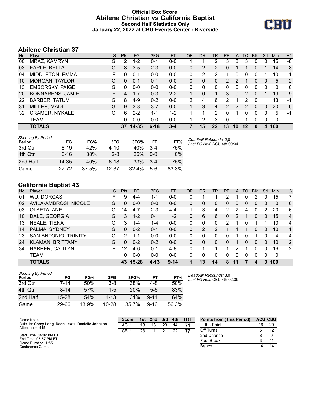## **Official Box Score Abilene Christian vs California Baptist Second Half Statistics Only January 22, 2022 at CBU Events Center - Riverside**



# **Abilene Christian 37**

| No. | Plaver                  | S  | <b>Pts</b> | <b>FG</b> | 3FG      | <b>FT</b> | <b>OR</b> | <b>DR</b> | TR            | <b>PF</b>      | A  | TO       | <b>B</b> lk | Stl | <b>Min</b> | $+/-$        |
|-----|-------------------------|----|------------|-----------|----------|-----------|-----------|-----------|---------------|----------------|----|----------|-------------|-----|------------|--------------|
| 00  | MRAZ, KAMRYN            | G  | 2          | $1 - 2$   | $0 - 1$  | $0 - 0$   |           |           | 2             | 3              | 3  | 3        | 0           | 0   | 15         | -8           |
| 03  | EARLE, BELLA            | G  | 8          | $3-5$     | $2 - 3$  | $0 - 0$   | 0         | 2         | 2             | 0              |    |          | 0           | 1   | 14         | -8           |
| 04  | MIDDLETON, EMMA         | F  | $\Omega$   | $0 - 1$   | $0 - 0$  | $0 - 0$   | 0         | 2         | 2             | 4              | 0  | $\Omega$ | 0           | 1   | 10         | 1            |
| 10  | <b>MORGAN, TAYLOR</b>   | G  | $\Omega$   | $0 - 1$   | $0 - 1$  | $0-0$     | 0         | 0         | 0             | $\overline{2}$ | 2  |          | $\Omega$    | 0   | 5          | 2            |
| 13  | <b>EMBORSKY, PAIGE</b>  | G  | 0          | $0 - 0$   | $0 - 0$  | $0 - 0$   | 0         | 0         | 0             | 0              | 0  | 0        | 0           | 0   | 0          | $\mathbf{0}$ |
| 20  | <b>BONNARENS, JAMIE</b> | F. | 4          | $1 - 7$   | $0 - 3$  | $2 - 2$   |           | 0         |               | 3              | 0  | 2        | $\Omega$    |     | 19         | -9           |
| 22  | <b>BARBER, TATUM</b>    | G  | 8          | $4-9$     | $0 - 2$  | $0 - 0$   | 2         | 4         | 6             | 2              |    | 2        | 0           |     | 13         | -1           |
| 31  | MILLER, MADI            | G  | 9          | $3 - 8$   | $3 - 7$  | $0 - 0$   |           | 3         | 4             | $\mathcal{P}$  | 2  | 2        | $\Omega$    | 0   | 20         | -6           |
| 32  | <b>CRAMER, NYKALE</b>   | G  | 6          | $2 - 2$   | $1 - 1$  | $1 - 2$   |           | 1         | $\mathcal{P}$ | 0              |    | 0        | $\Omega$    | 0   | 5          | -1           |
|     | <b>TEAM</b>             |    | 0          | $0 - 0$   | $0 - 0$  | $0 - 0$   |           | 2         | 3             | $\Omega$       | 0  | 1        | 0           | 0   | 0          |              |
|     | <b>TOTALS</b>           |    | 37         | $14 - 35$ | $6 - 18$ | 3-4       |           | 15        | 22            | 13             | 10 | 12       | 0           | 4   | 100        |              |

| <b>Shooting By Period</b><br>Period | FG        | FG%   | 3FG       | 3FG%  | FT      | FT%   | Deadball Rebounds: 2,0<br>Last FG Half: ACU 4th-00:34 |
|-------------------------------------|-----------|-------|-----------|-------|---------|-------|-------------------------------------------------------|
| 3rd Qtr                             | $8-19$    | 42%   | 4-10      | 40%   | $3-4$   | 75%   |                                                       |
| 4th Qtr                             | $6 - 16$  | 38%   | $2 - 8$   | 25%   | $0 - 0$ | 0%    |                                                       |
| 2nd Half                            | 14-35     | 40%   | $6-18$    | 33%   | $3 - 4$ | 75%   |                                                       |
| Game                                | $27 - 72$ | 37.5% | $12 - 37$ | 32.4% | $5-6$   | 83.3% |                                                       |

# **California Baptist 43**

| No. | Plaver                  | S. | <b>Pts</b> | <b>FG</b> | 3FG      | <b>FT</b> | OR       | DR | TR       | PF       | A | TO       | <b>B</b> lk | Stl      | Min      | $+/-$          |
|-----|-------------------------|----|------------|-----------|----------|-----------|----------|----|----------|----------|---|----------|-------------|----------|----------|----------------|
| 01  | WU, DORCAS              | F. | 9          | 4-4       | $1 - 1$  | $0 - 0$   | 0        |    |          | 2        |   | 0        |             | 0        | 15       | 7              |
| 02  | AVILA-AMBROSI, NICOLE   | G  | 0          | $0 - 0$   | $0 - 0$  | $0 - 0$   | 0        | 0  | 0        | $\Omega$ | 0 | 0        | 0           | 0        | $\Omega$ | $\mathbf{0}$   |
| 03  | OLAETA, ANE             | G  | 14         | $4 - 7$   | $2 - 3$  | $4 - 4$   |          | 3  | 4        | 2        | 2 | 4        | 0           | 2        | 20       | 6              |
| 10  | DALE, GEORGIA           | G  | 3          | $1 - 2$   | $0 - 1$  | $1 - 2$   | 0        | 6  | 6        | 0        | 2 |          | 0           | 0        | 15       | $\overline{4}$ |
| 13  | NEALE, TIENA            | G  | 3          | $1 - 4$   | 1-4      | $0 - 0$   | 0        | 0  | 0        | 2        |   | 0        |             |          | 10       | 4              |
| 14  | PALMA, SYDNEY           | G  | $\Omega$   | $0 - 2$   | $0 - 1$  | $0 - 0$   | 0        | 2  | 2        |          |   |          | $\Omega$    | $\Omega$ | 10       | 1              |
| 23  | SAN ANTONIO, TRINITY    | G  | 2          | 1-1       | $0 - 0$  | $0 - 0$   | $\Omega$ | 0  | 0        | 0        |   | 0        |             | 0        | 4        | 4              |
| 24  | <b>KLAMAN, BRITTANY</b> | G  | $\Omega$   | $0 - 2$   | $0 - 2$  | $0 - 0$   | 0        | 0  | $\Omega$ | 0        |   | $\Omega$ | $\Omega$    | $\Omega$ | 10       | 2              |
| 34  | <b>HARPER, CAITLYN</b>  | F. | 12         | $4-6$     | $0 - 1$  | $4 - 8$   | 0        | 1  |          | 1        | 2 |          | 0           | 0        | 16       | 2              |
|     | <b>TEAM</b>             |    | 0          | $0 - 0$   | $0 - 0$  | $0 - 0$   | $\Omega$ | 0  | $\Omega$ | 0        | 0 | $\Omega$ | 0           | 0        | 0        |                |
|     | <b>TOTALS</b>           |    | 43         | $15 - 28$ | $4 - 13$ | $9 - 14$  |          | 13 | 14       | 8        |   |          | 4           | 3        | 100      |                |

| <b>Shooting By Period</b><br>Period | FG        | FG%   | 3FG       | 3FG%  | FТ       | FT%   |
|-------------------------------------|-----------|-------|-----------|-------|----------|-------|
| 3rd Otr                             | $7 - 14$  | 50%   | $3 - 8$   | 38%   | 4-8      | 50%   |
| 4th Qtr                             | $8 - 14$  | 57%   | $1-5$     | 20%   | $5-6$    | 83%   |
| 2nd Half                            | $15 - 28$ | 54%   | $4 - 1.3$ | 31%   | $9 - 14$ | 64%   |
| Game                                | 29-66     | 43.9% | $10 - 28$ | 35.7% | $9 - 16$ | 56.3% |

*Deadball Rebounds:* 3,0 *Last FG Half:* CBU 4th-02:39

| Game Notes:                                                            | <b>Score</b> | 1st. | 2nd | 3rd | 4th | <b>TOT</b> | <b>Points from (This Period)</b> |    | <b>ACU CBU</b> |
|------------------------------------------------------------------------|--------------|------|-----|-----|-----|------------|----------------------------------|----|----------------|
| Officials: Corey Long, Deon Lewis, Danielle Johnson<br>Attendance: 419 | ACU          | 18   | 16  | 23  |     |            | In the Paint                     | 16 | 20             |
|                                                                        | CBU          | 23   |     | 21  | つつ  | 77         | Off Turns                        |    |                |
| Start Time: 04:02 PM ET                                                |              |      |     |     |     |            | 2nd Chance                       |    |                |
| End Time: 05:57 PM ET<br>Game Duration: 1:55                           |              |      |     |     |     |            | Fast Break                       |    |                |
| Conference Game:                                                       |              |      |     |     |     |            | Bench                            |    |                |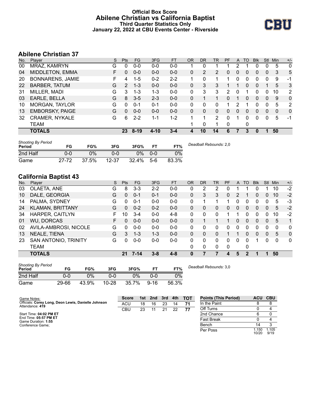## **Official Box Score Abilene Christian vs California Baptist Third Quarter Statistics Only January 22, 2022 at CBU Events Center - Riverside**



# **Abilene Christian 37**

| No. | Player                  | S. | <b>Pts</b> | <b>FG</b> | 3FG      | <b>FT</b> | 0R       | DR           | TR | PF | A        | TO       | <b>Blk</b> | Stl          | Min          | $+/-$          |
|-----|-------------------------|----|------------|-----------|----------|-----------|----------|--------------|----|----|----------|----------|------------|--------------|--------------|----------------|
| 00  | MRAZ, KAMRYN            | G  | 0          | $0 - 0$   | $0 - 0$  | $0 - 0$   |          | 0            |    |    |          |          | 0          |              | 5            | $\mathbf{0}$   |
| 04  | <b>MIDDLETON, EMMA</b>  | F. | 0          | $0 - 0$   | $0 - 0$  | $0 - 0$   | 0        | 2            | 2  | 0  | 0        | 0        | 0          | 0            | 3            | 5              |
| 20  | <b>BONNARENS, JAMIE</b> | F  | 4          | $1 - 5$   | $0 - 2$  | $2 - 2$   |          | 0            | 1  | 1  | 0        | 0        | 0          | 0            | 9            | -1             |
| 22  | <b>BARBER, TATUM</b>    | G  | 2          | $1 - 3$   | $0 - 0$  | $0 - 0$   | $\Omega$ | 3            | 3  |    |          | 0        | 0          |              | 5            | 3              |
| 31  | MILLER, MADI            | G  | 3          | $1 - 3$   | $1 - 3$  | $0 - 0$   | 0        | 3            | 3  | 2  | 0        |          | 0          | 0            | 10           | $\overline{2}$ |
| 03  | EARLE, BELLA            | G  | 8          | $3 - 5$   | $2 - 3$  | $0 - 0$   | 0        |              |    | 0  |          | 0        | 0          | $\mathbf{0}$ | 9            | $\mathbf{0}$   |
| 10  | <b>MORGAN, TAYLOR</b>   | G  | 0          | $0 - 1$   | $0 - 1$  | $0 - 0$   | 0        | 0            | 0  |    |          |          | 0          | 0            | 5            | 2              |
| 13  | <b>EMBORSKY, PAIGE</b>  | G  | 0          | $0 - 0$   | $0 - 0$  | $0 - 0$   | 0        | $\mathbf{0}$ | 0  | 0  | $\Omega$ | $\Omega$ | 0          | 0            | $\mathbf{0}$ | $\Omega$       |
| 32  | <b>CRAMER, NYKALE</b>   | G  | 6          | $2 - 2$   | 1-1      | 1-2       |          |              | 2  | 0  |          | 0        | 0          | $\Omega$     | 5            | -1             |
|     | TEAM                    |    |            |           |          |           |          | 0            |    | 0  |          | 0        |            |              |              |                |
|     | <b>TOTALS</b>           |    | 23         | $8 - 19$  | $4 - 10$ | $3 - 4$   | 4        | 10           | 14 | 6  |          | 3        | $\bf{0}$   |              | 50           |                |

| <b>Shooting By Period</b><br>Period | FG    | FG%   | 3FG       | 3FG%  |         | FT%   | Deadball Rebounds: 2,0 |
|-------------------------------------|-------|-------|-----------|-------|---------|-------|------------------------|
| 2nd Half                            | 0-0   | 0%    | ი ი       | 0%    | $0 - 0$ | 0%    |                        |
| Game                                | 27-72 | 37.5% | $12 - 37$ | 32.4% | $5-6$   | 83.3% |                        |

# **California Baptist 43**

| No. | Player                  | S | <b>Pts</b> | <b>FG</b> | 3FG     | <b>FT</b> | <b>OR</b> | DR           | TR | <b>PF</b>    | A        | TO       | <b>Blk</b> | Stl            | Min      | $+/-$        |
|-----|-------------------------|---|------------|-----------|---------|-----------|-----------|--------------|----|--------------|----------|----------|------------|----------------|----------|--------------|
| 03  | OLAETA, ANE             | G | 8          | $3 - 3$   | $2 - 2$ | $0 - 0$   | 0         | 2            | 2  | 0            |          |          | 0          |                | 10       | $-2$         |
| 10  | DALE, GEORGIA           | G | 0          | $0 - 1$   | $0 - 1$ | $0 - 0$   | 0         | 3            | 3  | 0            | 2        |          | 0          | $\Omega$       | 10       | $-2$         |
| 14  | PALMA, SYDNEY           | G | U          | $0 - 1$   | $0-0$   | $0-0$     | $\Omega$  |              |    |              |          | 0        | 0          | 0              | 5        | $-3$         |
| 24  | <b>KLAMAN, BRITTANY</b> | G | 0          | $0 - 2$   | $0 - 2$ | $0 - 0$   | 0         | $\mathbf{0}$ | 0  | 0            | 0        | 0        | 0          | $\overline{0}$ | 5        | $-2$         |
| 34  | HARPER, CAITLYN         | F | 10         | $3 - 4$   | $0 - 0$ | $4 - 8$   | 0         | 0            | 0  |              |          | 0        | 0          | 0              | 10       | $-2$         |
| 01  | <b>WU, DORCAS</b>       | F | 0          | $0 - 0$   | $0 - 0$ | $0 - 0$   | 0         |              |    |              | $\Omega$ | 0        | $\Omega$   | $\Omega$       | 5        | $\mathbf{1}$ |
| 02  | AVILA-AMBROSI, NICOLE   | G | 0          | $0 - 0$   | $0 - 0$ | $0-0$     | 0         | 0            | 0  | 0            | $\Omega$ | $\Omega$ | 0          | $\Omega$       | $\Omega$ | $\mathbf{0}$ |
| 13  | NEALE, TIENA            | G | 3          | $1 - 3$   | $1 - 3$ | $0 - 0$   | 0         | $\mathbf{0}$ | 0  |              |          | 0        | $\Omega$   | $\mathbf{0}$   | 5        | $\mathbf{0}$ |
| 23  | SAN ANTONIO, TRINITY    | G | U          | $0 - 0$   | $0-0$   | $0 - 0$   | 0         | $\Omega$     | 0  | $\Omega$     | $\Omega$ | 0        | 1          | 0              | $\Omega$ | $\mathbf{0}$ |
|     | <b>TEAM</b>             |   |            |           |         |           | 0         | 0            | 0  | $\mathbf{0}$ |          | 0        |            |                |          |              |
|     | <b>TOTALS</b>           |   | 21         | 7-14      | $3 - 8$ | 4-8       | 0         |              |    |              | 5        |          |            |                | 50       |              |

| <b>Shooting By Period</b><br>Period | FG    | FG%   | 3FG       | 3FG%  |          | FT%   |
|-------------------------------------|-------|-------|-----------|-------|----------|-------|
| 2nd Half                            | 0-0   | 9%    | 0-0       | 0%    | 0-0      | 0%    |
| Game                                | 29-66 | 43.9% | $10 - 28$ | 35.7% | $9 - 16$ | 56.3% |

*Deadball Rebounds:* 3,0

| Game Notes:                                                            | <b>Score</b> | 1st | 2nd | 3rd | 4th | <b>TOT</b> | <b>Points (This Period)</b> | <b>ACU</b>     | <b>CBU</b>    |
|------------------------------------------------------------------------|--------------|-----|-----|-----|-----|------------|-----------------------------|----------------|---------------|
| Officials: Corey Long, Deon Lewis, Danielle Johnson<br>Attendance: 419 | ACU          | 18  | 16  | 23  | 14  | 71         | In the Paint                |                |               |
|                                                                        | <b>CBU</b>   | 23  |     | 21  | 22  | 77         | Off Turns                   |                |               |
| Start Time: 04:02 PM ET                                                |              |     |     |     |     |            | 2nd Chance                  |                |               |
| End Time: 05:57 PM ET<br>Game Duration: 1:55                           |              |     |     |     |     |            | <b>Fast Break</b>           |                |               |
| Conference Game;                                                       |              |     |     |     |     |            | Bench                       | 14             |               |
|                                                                        |              |     |     |     |     |            | Per Poss                    | . 150<br>10/20 | 1.105<br>9/19 |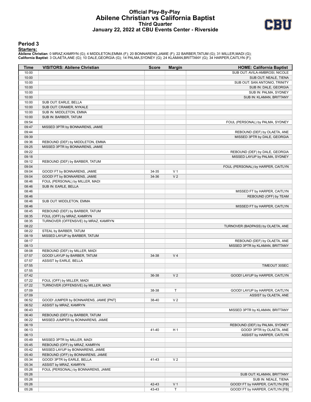## **Official Play-By-Play Abilene Christian vs California Baptist Third Quarter January 22, 2022 at CBU Events Center - Riverside**



#### **Period 3**

#### **Starters:**

Abilene Christian: 0 MRAZ,KAMRYN (G); 4 MIDDLETON,EMMA (F); 20 BONNARENS,JAMIE (F); 22 BARBER,TATUM (G); 31 MILLER,MADI (G);<br>California Baptist: 3 OLAETA,ANE (G); 10 DALE,GEORGIA (G); 14 PALMA,SYDNEY (G); 24 KLAMAN,BRITTAN

| <b>Time</b>    | <b>VISITORS: Abilene Christian</b>                                  | <b>Score</b> | <b>Margin</b>            | <b>HOME: California Baptist</b>    |
|----------------|---------------------------------------------------------------------|--------------|--------------------------|------------------------------------|
| 10:00          |                                                                     |              |                          | SUB OUT: AVILA-AMBROSI, NICOLE     |
| 10:00          |                                                                     |              |                          | SUB OUT: NEALE, TIENA              |
| 10:00          |                                                                     |              |                          | SUB OUT: SAN ANTONIO, TRINITY      |
| 10:00          |                                                                     |              |                          | SUB IN: DALE, GEORGIA              |
| 10:00          |                                                                     |              |                          | SUB IN: PALMA, SYDNEY              |
| 10:00          |                                                                     |              |                          | SUB IN: KLAMAN, BRITTANY           |
| 10:00          | SUB OUT: EARLE, BELLA                                               |              |                          |                                    |
| 10:00          | SUB OUT: CRAMER, NYKALE                                             |              |                          |                                    |
| 10:00          | SUB IN: MIDDLETON, EMMA                                             |              |                          |                                    |
| 10:00          | SUB IN: BARBER, TATUM                                               |              |                          |                                    |
| 09:54          |                                                                     |              |                          | FOUL (PERSONAL) by PALMA, SYDNEY   |
| 09:47          | MISSED 3PTR by BONNARENS, JAMIE                                     |              |                          |                                    |
| 09:44<br>09:39 |                                                                     |              |                          | REBOUND (DEF) by OLAETA, ANE       |
|                |                                                                     |              |                          | MISSED 3PTR by DALE, GEORGIA       |
| 09:36<br>09:25 | REBOUND (DEF) by MIDDLETON, EMMA<br>MISSED 3PTR by BONNARENS, JAMIE |              |                          |                                    |
| 09:22          |                                                                     |              |                          | REBOUND (DEF) by DALE, GEORGIA     |
| 09:18          |                                                                     |              |                          | MISSED LAYUP by PALMA, SYDNEY      |
| 09:12          | REBOUND (DEF) by BARBER, TATUM                                      |              |                          |                                    |
| 09:04          |                                                                     |              |                          | FOUL (PERSONAL) by HARPER, CAITLYN |
| 09:04          | GOOD! FT by BONNARENS, JAMIE                                        | 34-35        | V <sub>1</sub>           |                                    |
| 09:04          | GOOD! FT by BONNARENS, JAMIE                                        | 34-36        | V <sub>2</sub>           |                                    |
| 08:46          | FOUL (PERSONAL) by MILLER, MADI                                     |              |                          |                                    |
| 08:46          | SUB IN: EARLE, BELLA                                                |              |                          |                                    |
| 08:46          |                                                                     |              |                          | MISSED FT by HARPER, CAITLYN       |
| 08:46          |                                                                     |              |                          | REBOUND (OFF) by TEAM              |
| 08:46          | SUB OUT: MIDDLETON, EMMA                                            |              |                          |                                    |
| 08:46          |                                                                     |              |                          | MISSED FT by HARPER, CAITLYN       |
| 08:45          | REBOUND (DEF) by BARBER, TATUM                                      |              |                          |                                    |
| 08:35          | FOUL (OFF) by MRAZ, KAMRYN                                          |              |                          |                                    |
| 08:35          | TURNOVER (OFFENSIVE) by MRAZ, KAMRYN                                |              |                          |                                    |
| 08:22          |                                                                     |              |                          | TURNOVER (BADPASS) by OLAETA, ANE  |
| 08:22          | STEAL by BARBER, TATUM                                              |              |                          |                                    |
| 08:19          | MISSED LAYUP by BARBER, TATUM                                       |              |                          |                                    |
| 08:17          |                                                                     |              |                          | REBOUND (DEF) by OLAETA, ANE       |
| 08:13          |                                                                     |              |                          | MISSED 3PTR by KLAMAN, BRITTANY    |
| 08:08          | REBOUND (DEF) by MILLER, MADI                                       |              |                          |                                    |
| 07:57          | GOOD! LAYUP by BARBER, TATUM                                        | 34-38        | V <sub>4</sub>           |                                    |
| 07:57          | ASSIST by EARLE, BELLA                                              |              |                          |                                    |
| 07:55          |                                                                     |              |                          | TIMEOUT 30SEC                      |
| 07:55          |                                                                     |              |                          |                                    |
| 07:42          |                                                                     | 36-38        | V <sub>2</sub>           | GOOD! LAYUP by HARPER, CAITLYN     |
| 07:22          | FOUL (OFF) by MILLER, MADI                                          |              |                          |                                    |
| 07:22          | TURNOVER (OFFENSIVE) by MILLER, MADI                                |              |                          |                                    |
| 07:09          |                                                                     | 38-38        | T.                       | GOOD! LAYUP by HARPER, CAITLYN     |
| 07:09          |                                                                     |              |                          | ASSIST by OLAETA, ANE              |
| 06:52          | GOOD! JUMPER by BONNARENS, JAMIE [PNT]                              | 38-40        | V <sub>2</sub>           |                                    |
| 06:52          | ASSIST by MRAZ, KAMRYN                                              |              |                          |                                    |
| 06:43          |                                                                     |              |                          | MISSED 3PTR by KLAMAN, BRITTANY    |
| 06:40          | REBOUND (DEF) by BARBER, TATUM                                      |              |                          |                                    |
| 06:22          | MISSED JUMPER by BONNARENS, JAMIE                                   |              |                          |                                    |
| 06:19          |                                                                     |              |                          | REBOUND (DEF) by PALMA, SYDNEY     |
| 06:13          |                                                                     | 41-40        | H <sub>1</sub>           | GOOD! 3PTR by OLAETA, ANE          |
| 06:13          |                                                                     |              |                          | ASSIST by HARPER, CAITLYN          |
| 05:49          | MISSED 3PTR by MILLER, MADI                                         |              |                          |                                    |
| 05:45          | REBOUND (OFF) by MRAZ, KAMRYN                                       |              |                          |                                    |
| 05:42          | MISSED LAYUP by BONNARENS, JAMIE                                    |              |                          |                                    |
| 05:40          | REBOUND (OFF) by BONNARENS, JAMIE                                   |              |                          |                                    |
| 05:34          | GOOD! 3PTR by EARLE, BELLA                                          | 41-43        | V <sub>2</sub>           |                                    |
| 05:34          | ASSIST by MRAZ, KAMRYN                                              |              |                          |                                    |
| 05:26          | FOUL (PERSONAL) by BONNARENS, JAMIE                                 |              |                          |                                    |
| 05:26          |                                                                     |              |                          | SUB OUT: KLAMAN, BRITTANY          |
| 05:26          |                                                                     |              |                          | SUB IN: NEALE, TIENA               |
| 05:26          |                                                                     | 42-43        | V <sub>1</sub><br>$\top$ | GOOD! FT by HARPER, CAITLYN [FB]   |
| 05:26          |                                                                     | 43-43        |                          | GOOD! FT by HARPER, CAITLYN [FB]   |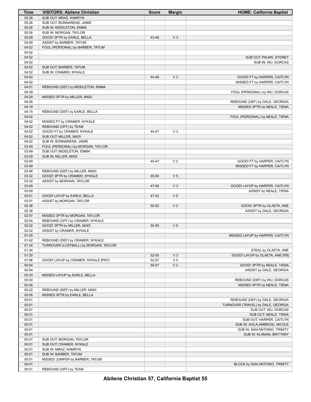| Time  | <b>VISITORS: Abilene Christian</b>    | <b>Score</b> | <b>Margin</b>  | <b>HOME: California Baptist</b>    |
|-------|---------------------------------------|--------------|----------------|------------------------------------|
| 05:26 | SUB OUT: MRAZ, KAMRYN                 |              |                |                                    |
| 05:26 | SUB OUT: BONNARENS, JAMIE             |              |                |                                    |
| 05:26 | SUB IN: MIDDLETON, EMMA               |              |                |                                    |
| 05:26 | SUB IN: MORGAN, TAYLOR                |              |                |                                    |
| 05:09 | GOOD! 3PTR by EARLE, BELLA            | 43-46        | $V_3$          |                                    |
| 05:09 | ASSIST by BARBER, TATUM               |              |                |                                    |
| 04:52 | FOUL (PERSONAL) by BARBER, TATUM      |              |                |                                    |
| 04:52 |                                       |              |                |                                    |
| 04:52 |                                       |              |                | SUB OUT: PALMA, SYDNEY             |
| 04:52 |                                       |              |                | SUB IN: WU, DORCAS                 |
| 04:52 | SUB OUT: BARBER, TATUM                |              |                |                                    |
| 04:52 | SUB IN: CRAMER, NYKALE                |              |                |                                    |
| 04:52 |                                       | 44-46        | V <sub>2</sub> | GOOD! FT by HARPER, CAITLYN        |
| 04:52 |                                       |              |                | MISSED FT by HARPER, CAITLYN       |
| 04:51 | REBOUND (DEF) by MIDDLETON, EMMA      |              |                |                                    |
| 04:39 |                                       |              |                | FOUL (PERSONAL) by WU, DORCAS      |
| 04:29 | MISSED 3PTR by MILLER, MADI           |              |                |                                    |
| 04:26 |                                       |              |                | REBOUND (DEF) by DALE, GEORGIA     |
| 04:19 |                                       |              |                | MISSED 3PTR by NEALE, TIENA        |
| 04:15 | REBOUND (DEF) by EARLE, BELLA         |              |                |                                    |
| 04:02 |                                       |              |                | FOUL (PERSONAL) by NEALE, TIENA    |
| 04:02 | MISSED FT by CRAMER, NYKALE           |              |                |                                    |
| 04:02 | REBOUND (OFF) by TEAM                 |              |                |                                    |
| 04:02 | GOOD! FT by CRAMER, NYKALE            | 44-47        | $V_3$          |                                    |
| 04:02 | SUB OUT: MILLER, MADI                 |              |                |                                    |
| 04:02 | SUB IN: BONNARENS, JAMIE              |              |                |                                    |
| 03:49 | FOUL (PERSONAL) by MORGAN, TAYLOR     |              |                |                                    |
| 03:49 | SUB OUT: MIDDLETON, EMMA              |              |                |                                    |
| 03:49 | SUB IN: MILLER, MADI                  |              |                |                                    |
| 03:49 |                                       | 45-47        | V <sub>2</sub> | GOOD! FT by HARPER, CAITLYN        |
| 03:49 |                                       |              |                | MISSED FT by HARPER, CAITLYN       |
| 03:48 | REBOUND (DEF) by MILLER, MADI         |              |                |                                    |
| 03:32 | GOOD! 3PTR by CRAMER, NYKALE          | 45-50        | V <sub>5</sub> |                                    |
| 03:32 | ASSIST by MORGAN, TAYLOR              |              |                |                                    |
| 03:09 |                                       | 47-50        | $V_3$          | GOOD! LAYUP by HARPER, CAITLYN     |
| 03:09 |                                       |              |                | ASSIST by NEALE, TIENA             |
| 02:51 | GOOD! LAYUP by EARLE, BELLA           | 47-52        | V <sub>5</sub> |                                    |
| 02:51 | ASSIST by MORGAN, TAYLOR              |              |                |                                    |
| 02:38 |                                       | 50-52        | V <sub>2</sub> | GOOD! 3PTR by OLAETA, ANE          |
| 02:38 |                                       |              |                | ASSIST by DALE, GEORGIA            |
| 02:07 | MISSED 3PTR by MORGAN, TAYLOR         |              |                |                                    |
| 02:04 | REBOUND (OFF) by CRAMER, NYKALE       |              |                |                                    |
| 02:02 | GOOD! 3PTR by MILLER, MADI            | 50-55        | V <sub>5</sub> |                                    |
| 02:02 | ASSIST by CRAMER, NYKALE              |              |                |                                    |
| 01:45 |                                       |              |                | MISSED LAYUP by HARPER, CAITLYN    |
| 01:42 | REBOUND (DEF) by CRAMER, NYKALE       |              |                |                                    |
| 01:34 | TURNOVER (LOSTBALL) by MORGAN, TAYLOR |              |                |                                    |
| 01:34 |                                       |              |                | STEAL by OLAETA, ANE               |
| 01:30 |                                       | 52-55        | V <sub>3</sub> | GOOD! LAYUP by OLAETA, ANE [FB]    |
| 01:06 | GOOD! LAYUP by CRAMER, NYKALE [PNT]   | 52-57        | V <sub>5</sub> |                                    |
| 00:54 |                                       | 55-57        | V <sub>2</sub> | GOOD! 3PTR by NEALE, TIENA         |
| 00:54 |                                       |              |                | ASSIST by DALE, GEORGIA            |
| 00:33 | MISSED LAYUP by EARLE, BELLA          |              |                |                                    |
| 00:30 |                                       |              |                | REBOUND (DEF) by WU, DORCAS        |
| 00:26 |                                       |              |                | MISSED 3PTR by NEALE, TIENA        |
| 00:22 | REBOUND (DEF) by MILLER, MADI         |              |                |                                    |
| 00:05 | MISSED 3PTR by EARLE, BELLA           |              |                |                                    |
| 00:01 |                                       |              |                | REBOUND (DEF) by DALE, GEORGIA     |
| 00:01 |                                       |              |                | TURNOVER (TRAVEL) by DALE, GEORGIA |
| 00:01 |                                       |              |                | SUB OUT: WU, DORCAS                |
| 00:01 |                                       |              |                | SUB OUT: NEALE, TIENA              |
| 00:01 |                                       |              |                | SUB OUT: HARPER, CAITLYN           |
| 00:01 |                                       |              |                | SUB IN: AVILA-AMBROSI, NICOLE      |
| 00:01 |                                       |              |                | SUB IN: SAN ANTONIO, TRINITY       |
| 00:01 |                                       |              |                | SUB IN: KLAMAN, BRITTANY           |
| 00:01 | SUB OUT: MORGAN, TAYLOR               |              |                |                                    |
| 00:01 | SUB OUT: CRAMER, NYKALE               |              |                |                                    |
| 00:01 | SUB IN: MRAZ, KAMRYN                  |              |                |                                    |
| 00:01 | SUB IN: BARBER, TATUM                 |              |                |                                    |
| 00:01 | MISSED JUMPER by BARBER, TATUM        |              |                |                                    |
| 00:01 |                                       |              |                | BLOCK by SAN ANTONIO, TRINITY      |
| 00:01 | REBOUND (OFF) by TEAM                 |              |                |                                    |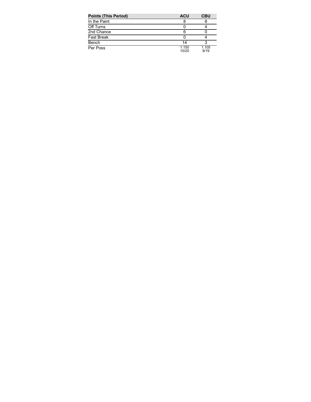| <b>Points (This Period)</b> | <b>ACU</b>     | <b>CBU</b>    |
|-----------------------------|----------------|---------------|
| In the Paint                |                |               |
| Off Turns                   |                |               |
| 2nd Chance                  | 6              |               |
| <b>Fast Break</b>           |                |               |
| Bench                       | 14             |               |
| Per Poss                    | 1.150<br>10/20 | 1.105<br>9/19 |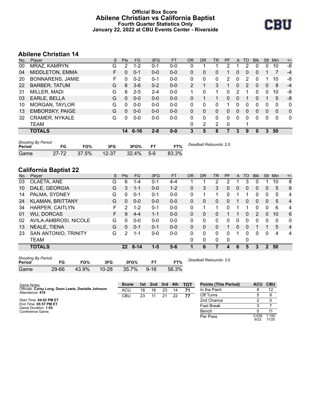## **Official Box Score Abilene Christian vs California Baptist Fourth Quarter Statistics Only January 22, 2022 at CBU Events Center - Riverside**



# **Abilene Christian 14**

|                         |   | <b>Pts</b> | <b>FG</b> | 3FG      | <b>FT</b> | <b>OR</b> | DR | TR | PF | A            | TO       | <b>B</b> lk | Stl      | Min      | $+/-$        |
|-------------------------|---|------------|-----------|----------|-----------|-----------|----|----|----|--------------|----------|-------------|----------|----------|--------------|
| MRAZ, KAMRYN            | G | 2          | $1 - 2$   | $0 - 1$  | $0-0$     | 0         |    |    | 2  |              | 2        | O           | 0        | 10       | -8           |
| MIDDLETON, EMMA         | F | 0          | $0 - 1$   | $0 - 0$  | $0 - 0$   | 0         | 0  | 0  |    | 0            | 0        | 0           |          | 7        | $-4$         |
| <b>BONNARENS, JAMIE</b> | F | 0          | $0 - 2$   | $0 - 1$  | $0 - 0$   | 0         | 0  | 0  | 2  | 0            | 2        | 0           |          | 10       | -8           |
| <b>BARBER, TATUM</b>    | G | 6          | $3 - 6$   | $0 - 2$  | $0 - 0$   | 2         |    | 3  | 1  | $\mathbf{0}$ | 2        | 0           | 0        | 8        | $-4$         |
| MILLER, MADI            | G | 6          | $2 - 5$   | $2 - 4$  | $0 - 0$   | 1         | 0  | 1  | 0  | 2            |          | 0           | 0        | 10       | -8           |
| EARLE, BELLA            | G | 0          | $0 - 0$   | $0 - 0$  | $0 - 0$   | 0         |    | 1  | 0  | $\mathbf{0}$ |          | 0           |          | 5        | -8           |
| <b>MORGAN, TAYLOR</b>   | G | 0          | $0 - 0$   | $0 - 0$  | $0 - 0$   | 0         | 0  | 0  | 1  | 0            | 0        | 0           | 0        | $\Omega$ | $\mathbf{0}$ |
| <b>EMBORSKY, PAIGE</b>  | G | 0          | $0 - 0$   | $0 - 0$  | $0 - 0$   | $\Omega$  | 0  | 0  | 0  | $\Omega$     | $\Omega$ | $\Omega$    | $\Omega$ | $\Omega$ | $\Omega$     |
| <b>CRAMER, NYKALE</b>   | G | 0          | $0-0$     | $0-0$    | $0-0$     | 0         | 0  | 0  | 0  | 0            | 0        | $\Omega$    | $\Omega$ | 0        | $\mathbf{0}$ |
| TEAM                    |   |            |           |          |           | 0         | 2  | 2  | 0  |              |          |             |          |          |              |
| <b>TOTALS</b>           |   | 14         |           | $2 - 8$  | $0 - 0$   | 3         | 5  | 8  |    | 3            | 9        | 0           | 3        | 50       |              |
|                         |   |            |           | $6 - 16$ |           |           |    |    |    |              |          |             |          |          |              |

| <b>Shooting By Period</b><br>Period | FG    | FG%   | 3FG       | 3FG%     | FТ    | FT%   | Deadball Rebounds: 2,0 |
|-------------------------------------|-------|-------|-----------|----------|-------|-------|------------------------|
| Game                                | 27-72 | 37.5% | $12 - 37$ | $32.4\%$ | $5-6$ | 83.3% |                        |

# **California Baptist 22**

| No. | Player                  | S | <b>Pts</b>      | <b>FG</b> | 3FG     | <b>FT</b> | <b>OR</b> | DR | TR | <b>PF</b> | A        | TO       | <b>Blk</b> | Stl           | Min      | $+/-$          |
|-----|-------------------------|---|-----------------|-----------|---------|-----------|-----------|----|----|-----------|----------|----------|------------|---------------|----------|----------------|
| 03  | OLAETA, ANE             | G | 6               | 1-4       | $0 - 1$ | 4-4       |           |    | 2  | 2         |          | 3        | 0          |               | 10       | 8              |
| 10  | DALE, GEORGIA           | G | 3               | 1-1       | $0 - 0$ | $1 - 2$   | 0         | 3  | 3  | 0         | 0        | 0        | 0          | 0             | 5        | 6              |
| 14  | PALMA, SYDNEY           | G | 0               | $0 - 1$   | $0 - 1$ | $0-0$     | $\Omega$  |    |    | 0         |          |          | 0          | 0             | 5        | $\overline{4}$ |
| 24  | <b>KLAMAN, BRITTANY</b> | G | 0               | $0 - 0$   | $0 - 0$ | $0 - 0$   | 0         | 0  | 0  | 0         |          | $\Omega$ | 0          | $\Omega$      | 5        | $\overline{4}$ |
| 34  | <b>HARPER, CAITLYN</b>  | F | 2               | $1 - 2$   | $0 - 1$ | $0 - 0$   | $\Omega$  |    |    | 0         |          |          | 0          | 0             | 6        | 4              |
| 01  | <b>WU, DORCAS</b>       | F | 9               | $4 - 4$   | $1 - 1$ | $0 - 0$   | $\Omega$  | 0  | 0  |           |          | 0        | 2          | $\Omega$      | 10       | 6              |
| 02  | AVILA-AMBROSI, NICOLE   | G | 0               | $0 - 0$   | $0 - 0$ | $0 - 0$   | 0         | 0  | 0  | 0         | $\Omega$ | $\Omega$ | 0          | 0             | $\Omega$ | $\mathbf{0}$   |
| 13  | NEALE, TIENA            | G | 0               | $0 - 1$   | $0 - 1$ | $0 - 0$   | $\Omega$  | 0  | 0  |           | $\Omega$ | $\Omega$ |            |               | 5        | $\overline{4}$ |
| 23  | SAN ANTONIO, TRINITY    | G | 2               | 1-1       | $0-0$   | $0-0$     | 0         | 0  | 0  | U         |          | $\Omega$ | 0          | 0             | 4        | $\overline{4}$ |
|     | TEAM                    |   |                 |           |         |           | 0         | 0  | 0  | 0         |          | 0        |            |               |          |                |
|     | <b>TOTALS</b>           |   | 22 <sub>2</sub> | $8 - 14$  | $1 - 5$ | $5-6$     |           | 6  |    | 4         | 6        | 5        | 3          | $\mathcal{P}$ | 50       |                |
|     |                         |   |                 |           |         |           |           |    |    |           |          |          |            |               |          |                |

| <b>Shooting By Period</b> |       |       |           |       |          |       |  |  |  |
|---------------------------|-------|-------|-----------|-------|----------|-------|--|--|--|
| Period                    | FG    | FG%   | 3FG       | 3FG%  |          | FT%   |  |  |  |
| Game                      | 29-66 | 43.9% | $10 - 28$ | 35.7% | $9 - 16$ | 56.3% |  |  |  |

*Deadball Rebounds:* 3,0

| Game Notes:                                                            | <b>Score</b> |    | 1st 2nd | 3rd | 4th | <b>TOT</b> | <b>Points (This Period)</b> | ACU CBU       |                |
|------------------------------------------------------------------------|--------------|----|---------|-----|-----|------------|-----------------------------|---------------|----------------|
| Officials: Corey Long, Deon Lewis, Danielle Johnson<br>Attendance: 419 | ACU          | 18 | 16      | 23  | 14  |            | In the Paint                |               | 12             |
|                                                                        | CBU          | 23 |         | 21  | 22  | 77         | Off Turns                   |               |                |
| Start Time: 04:02 PM ET                                                |              |    |         |     |     |            | 2nd Chance                  |               |                |
| End Time: 05:57 PM ET<br>Game Duration: 1:55                           |              |    |         |     |     |            | <b>Fast Break</b>           |               |                |
| Conference Game;                                                       |              |    |         |     |     |            | Bench                       |               | 44             |
|                                                                        |              |    |         |     |     |            | Per Poss                    | 0.636<br>6/22 | 1.100<br>11/20 |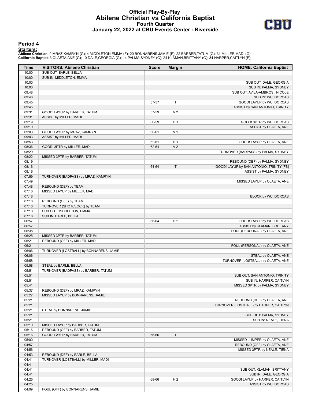## **Official Play-By-Play Abilene Christian vs California Baptist Fourth Quarter January 22, 2022 at CBU Events Center - Riverside**



#### **Period 4**

#### **Starters:**

Abilene Christian: 0 MRAZ,KAMRYN (G); 4 MIDDLETON,EMMA (F); 20 BONNARENS,JAMIE (F); 22 BARBER,TATUM (G); 31 MILLER,MADI (G);<br>California Baptist: 3 OLAETA,ANE (G); 10 DALE,GEORGIA (G); 14 PALMA,SYDNEY (G); 24 KLAMAN,BRITTAN

| Time           | <b>VISITORS: Abilene Christian</b>      | <b>Score</b> | <b>Margin</b>  | <b>HOME: California Baptist</b>                         |
|----------------|-----------------------------------------|--------------|----------------|---------------------------------------------------------|
| 10:00          | SUB OUT: EARLE, BELLA                   |              |                |                                                         |
| 10:00          | SUB IN: MIDDLETON, EMMA                 |              |                |                                                         |
| 10:00          |                                         |              |                | SUB OUT: DALE, GEORGIA                                  |
| 10:00          |                                         |              |                | SUB IN: PALMA, SYDNEY                                   |
| 09:48          |                                         |              |                | SUB OUT: AVILA-AMBROSI, NICOLE                          |
| 09:48          |                                         |              |                | SUB IN: WU, DORCAS                                      |
| 09:45          |                                         | 57-57        | T              | GOOD! LAYUP by WU, DORCAS                               |
| 09:45          |                                         |              |                | ASSIST by SAN ANTONIO, TRINITY                          |
| 09:31          | GOOD! LAYUP by BARBER, TATUM            | 57-59        | V <sub>2</sub> |                                                         |
| 09:31          | ASSIST by MILLER, MADI                  |              |                |                                                         |
| 09:19<br>09:19 |                                         | 60-59        | H <sub>1</sub> | GOOD! 3PTR by WU, DORCAS                                |
| 09:03          | GOOD! LAYUP by MRAZ, KAMRYN             | 60-61        | V <sub>1</sub> | ASSIST by OLAETA, ANE                                   |
| 09:03          | ASSIST by MILLER, MADI                  |              |                |                                                         |
| 08:53          |                                         | 62-61        | H <sub>1</sub> | GOOD! LAYUP by OLAETA, ANE                              |
| 08:36          | GOOD! 3PTR by MILLER, MADI              | 62-64        | V <sub>2</sub> |                                                         |
| 08:29          |                                         |              |                | TURNOVER (BADPASS) by PALMA, SYDNEY                     |
| 08:22          | MISSED 3PTR by BARBER, TATUM            |              |                |                                                         |
| 08:19          |                                         |              |                | REBOUND (DEF) by PALMA, SYDNEY                          |
| 08:16          |                                         | 64-64        | T              | GOOD! LAYUP by SAN ANTONIO, TRINITY [FB]                |
| 08:16          |                                         |              |                | ASSIST by PALMA, SYDNEY                                 |
| 07:59          | TURNOVER (BADPASS) by MRAZ, KAMRYN      |              |                |                                                         |
| 07:49          |                                         |              |                | MISSED LAYUP by OLAETA, ANE                             |
| 07:48          | REBOUND (DEF) by TEAM                   |              |                |                                                         |
| 07:18          | MISSED LAYUP by MILLER, MADI            |              |                |                                                         |
| 07:18          |                                         |              |                | BLOCK by WU, DORCAS                                     |
| 07:18          | REBOUND (OFF) by TEAM                   |              |                |                                                         |
| 07:18          | TURNOVER (SHOTCLOCK) by TEAM            |              |                |                                                         |
| 07:18          | SUB OUT: MIDDLETON, EMMA                |              |                |                                                         |
| 07:18          | SUB IN: EARLE, BELLA                    |              |                |                                                         |
| 06:57<br>06:57 |                                         | 66-64        | H <sub>2</sub> | GOOD! LAYUP by WU, DORCAS<br>ASSIST by KLAMAN, BRITTANY |
| 06:38          |                                         |              |                | FOUL (PERSONAL) by OLAETA, ANE                          |
| 06:25          | MISSED 3PTR by BARBER, TATUM            |              |                |                                                         |
| 06:21          | REBOUND (OFF) by MILLER, MADI           |              |                |                                                         |
| 06:21          |                                         |              |                | FOUL (PERSONAL) by OLAETA, ANE                          |
| 06:06          | TURNOVER (LOSTBALL) by BONNARENS, JAMIE |              |                |                                                         |
| 06:06          |                                         |              |                | STEAL by OLAETA, ANE                                    |
| 05:58          |                                         |              |                | TURNOVER (LOSTBALL) by OLAETA, ANE                      |
| 05:58          | STEAL by EARLE, BELLA                   |              |                |                                                         |
| 05:51          | TURNOVER (BADPASS) by BARBER, TATUM     |              |                |                                                         |
| 05:51          |                                         |              |                | SUB OUT: SAN ANTONIO, TRINITY                           |
| 05:51          |                                         |              |                | SUB IN: HARPER, CAITLYN                                 |
| 05:41          |                                         |              |                | MISSED 3PTR by PALMA, SYDNEY                            |
| 05:37          | REBOUND (DEF) by MRAZ, KAMRYN           |              |                |                                                         |
| 05:27          | MISSED LAYUP by BONNARENS, JAMIE        |              |                |                                                         |
| 05:21          |                                         |              |                | REBOUND (DEF) by OLAETA, ANE                            |
| 05:21          |                                         |              |                | TURNOVER (LOSTBALL) by HARPER, CAITLYN                  |
| 05:21          | STEAL by BONNARENS, JAMIE               |              |                |                                                         |
| 05:21<br>05:21 |                                         |              |                | SUB OUT: PALMA, SYDNEY                                  |
| 05:19          | MISSED LAYUP by BARBER, TATUM           |              |                | SUB IN: NEALE, TIENA                                    |
| 05:16          | REBOUND (OFF) by BARBER, TATUM          |              |                |                                                         |
| 05:16          | GOOD! LAYUP by BARBER, TATUM            | 66-66        | T.             |                                                         |
| 05:00          |                                         |              |                | MISSED JUMPER by OLAETA, ANE                            |
| 04:57          |                                         |              |                | REBOUND (OFF) by OLAETA, ANE                            |
| 04:56          |                                         |              |                | MISSED 3PTR by NEALE, TIENA                             |
| 04:53          | REBOUND (DEF) by EARLE, BELLA           |              |                |                                                         |
| 04:41          | TURNOVER (LOSTBALL) by MILLER, MADI     |              |                |                                                         |
| 04:41          |                                         |              |                |                                                         |
| 04:41          |                                         |              |                | SUB OUT: KLAMAN, BRITTANY                               |
| 04:41          |                                         |              |                | SUB IN: DALE, GEORGIA                                   |
| 04:25          |                                         | 68-66        | H <sub>2</sub> | GOOD! LAYUP by HARPER, CAITLYN                          |
| 04:25          |                                         |              |                | ASSIST by WU, DORCAS                                    |
| 04:09          | FOUL (OFF) by BONNARENS, JAMIE          |              |                |                                                         |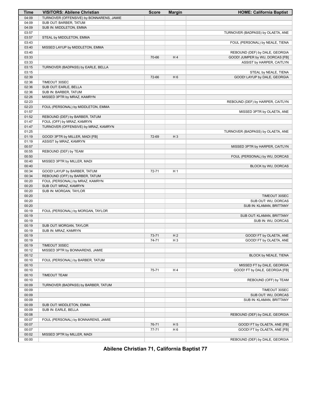| Time           | <b>VISITORS: Abilene Christian</b>       | <b>Score</b> | <b>Margin</b>  | <b>HOME: California Baptist</b>   |
|----------------|------------------------------------------|--------------|----------------|-----------------------------------|
| 04:09          | TURNOVER (OFFENSIVE) by BONNARENS, JAMIE |              |                |                                   |
| 04:09          | SUB OUT: BARBER, TATUM                   |              |                |                                   |
| 04:09          | SUB IN: MIDDLETON, EMMA                  |              |                |                                   |
| 03:57          |                                          |              |                | TURNOVER (BADPASS) by OLAETA, ANE |
| 03:57          | STEAL by MIDDLETON, EMMA                 |              |                |                                   |
| 03:43          |                                          |              |                | FOUL (PERSONAL) by NEALE, TIENA   |
| 03:40          | MISSED LAYUP by MIDDLETON, EMMA          |              |                |                                   |
| 03:40          |                                          |              |                | REBOUND (DEF) by DALE, GEORGIA    |
| 03:33          |                                          | 70-66        | H4             | GOOD! JUMPER by WU, DORCAS [FB]   |
| 03:33<br>03:15 |                                          |              |                | ASSIST by HARPER, CAITLYN         |
| 03:15          | TURNOVER (BADPASS) by EARLE, BELLA       |              |                | STEAL by NEALE, TIENA             |
| 02:39          |                                          | 72-66        | H <sub>6</sub> | GOOD! LAYUP by DALE, GEORGIA      |
| 02:36          | TIMEOUT 30SEC                            |              |                |                                   |
| 02:36          | SUB OUT: EARLE, BELLA                    |              |                |                                   |
| 02:36          | SUB IN: BARBER, TATUM                    |              |                |                                   |
| 02:26          | MISSED 3PTR by MRAZ, KAMRYN              |              |                |                                   |
| 02:23          |                                          |              |                | REBOUND (DEF) by HARPER, CAITLYN  |
| 02:23          | FOUL (PERSONAL) by MIDDLETON, EMMA       |              |                |                                   |
| 01:57          |                                          |              |                | MISSED 3PTR by OLAETA, ANE        |
| 01:52          | REBOUND (DEF) by BARBER, TATUM           |              |                |                                   |
| 01:47          | FOUL (OFF) by MRAZ, KAMRYN               |              |                |                                   |
| 01:47          | TURNOVER (OFFENSIVE) by MRAZ, KAMRYN     |              |                |                                   |
| 01:25          |                                          |              |                | TURNOVER (BADPASS) by OLAETA, ANE |
| 01:19          | GOOD! 3PTR by MILLER, MADI [FB]          | 72-69        | $H_3$          |                                   |
| 01:19          | ASSIST by MRAZ, KAMRYN                   |              |                |                                   |
| 00:57          |                                          |              |                | MISSED 3PTR by HARPER, CAITLYN    |
| 00:55          | REBOUND (DEF) by TEAM                    |              |                | FOUL (PERSONAL) by WU, DORCAS     |
| 00:50<br>00:40 |                                          |              |                |                                   |
| 00:40          | MISSED 3PTR by MILLER, MADI              |              |                | BLOCK by WU, DORCAS               |
| 00:34          | GOOD! LAYUP by BARBER, TATUM             | 72-71        | H <sub>1</sub> |                                   |
| 00:34          | REBOUND (OFF) by BARBER, TATUM           |              |                |                                   |
| 00:20          | FOUL (PERSONAL) by MRAZ, KAMRYN          |              |                |                                   |
| 00:20          | SUB OUT: MRAZ, KAMRYN                    |              |                |                                   |
| 00:20          | SUB IN: MORGAN, TAYLOR                   |              |                |                                   |
| 00:20          |                                          |              |                | TIMEOUT 30SEC                     |
| 00:20          |                                          |              |                | SUB OUT: WU, DORCAS               |
| 00:20          |                                          |              |                | SUB IN: KLAMAN, BRITTANY          |
| 00:19          | FOUL (PERSONAL) by MORGAN, TAYLOR        |              |                |                                   |
| 00:19          |                                          |              |                | SUB OUT: KLAMAN, BRITTANY         |
| 00:19          |                                          |              |                | SUB IN: WU, DORCAS                |
| 00:19          | SUB OUT: MORGAN, TAYLOR                  |              |                |                                   |
| 00:19          | SUB IN: MRAZ, KAMRYN                     |              |                |                                   |
| 00:19          |                                          | 73-71        | H <sub>2</sub> | GOOD! FT by OLAETA, ANE           |
| 00:19<br>00:19 | TIMEOUT 30SEC                            | 74-71        | H <sub>3</sub> | GOOD! FT by OLAETA, ANE           |
| 00:12          | MISSED 3PTR by BONNARENS, JAMIE          |              |                |                                   |
| 00:12          |                                          |              |                | BLOCK by NEALE, TIENA             |
| 00:10          | FOUL (PERSONAL) by BARBER, TATUM         |              |                |                                   |
| 00:10          |                                          |              |                | MISSED FT by DALE, GEORGIA        |
| 00:10          |                                          | 75-71        | H4             | GOOD! FT by DALE, GEORGIA [FB]    |
| 00:10          | <b>TIMEOUT TEAM</b>                      |              |                |                                   |
| 00:10          |                                          |              |                | REBOUND (OFF) by TEAM             |
| 00:09          | TURNOVER (BADPASS) by BARBER, TATUM      |              |                |                                   |
| 00:09          |                                          |              |                | TIMEOUT 30SEC                     |
| 00:09          |                                          |              |                | SUB OUT: WU, DORCAS               |
| 00:09          |                                          |              |                | SUB IN: KLAMAN, BRITTANY          |
| 00:09          | SUB OUT: MIDDLETON, EMMA                 |              |                |                                   |
| 00:09          | SUB IN: EARLE, BELLA                     |              |                |                                   |
| 00:08          |                                          |              |                | REBOUND (DEF) by DALE, GEORGIA    |
| 00:07          | FOUL (PERSONAL) by BONNARENS, JAMIE      |              |                |                                   |
| 00:07          |                                          | 76-71        | H <sub>5</sub> | GOOD! FT by OLAETA, ANE [FB]      |
| 00:07          |                                          | $77 - 71$    | H <sub>6</sub> | GOOD! FT by OLAETA, ANE [FB]      |
| 00:02          | MISSED 3PTR by MILLER, MADI              |              |                |                                   |
| 00:00          |                                          |              |                | REBOUND (DEF) by DALE, GEORGIA    |

**Abilene Christian 71, California Baptist 77**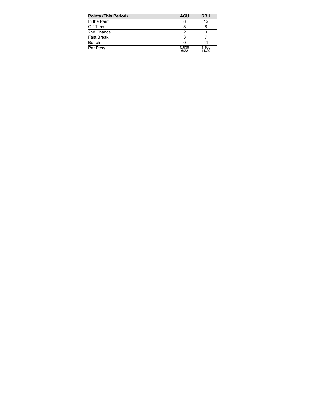| <b>Points (This Period)</b> | <b>ACU</b>    | <b>CBU</b>     |
|-----------------------------|---------------|----------------|
| In the Paint                |               | 12             |
| Off Turns                   | 5             |                |
| 2nd Chance                  |               |                |
| <b>Fast Break</b>           |               |                |
| Bench                       |               |                |
| Per Poss                    | 0.636<br>6/22 | 1.100<br>11/20 |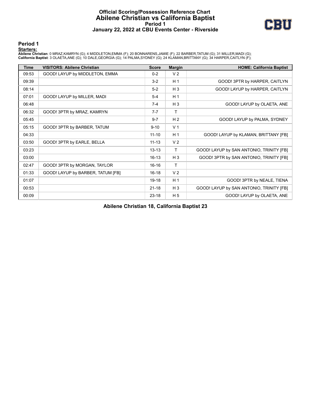## **Official Scoring/Possession Reference Chart Abilene Christian vs California Baptist Period 1 January 22, 2022 at CBU Events Center - Riverside**



**Period 1**

#### **Starters:**

Abilene Christian: 0 MRAZ,KAMRYN (G); 4 MIDDLETON,EMMA (F); 20 BONNARENS,JAMIE (F); 22 BARBER,TATUM (G); 31 MILLER,MADI (G);<br>California Baptist: 3 OLAETA,ANE (G); 10 DALE,GEORGIA (G); 14 PALMA,SYDNEY (G); 24 KLAMAN,BRITTAN

| <b>Time</b> | <b>VISITORS: Abilene Christian</b> | <b>Score</b> | <b>Margin</b>  | <b>HOME: California Baptist</b>          |
|-------------|------------------------------------|--------------|----------------|------------------------------------------|
| 09:53       | GOOD! LAYUP by MIDDLETON, EMMA     | $0 - 2$      | V <sub>2</sub> |                                          |
| 09:39       |                                    | $3-2$        | H <sub>1</sub> | GOOD! 3PTR by HARPER, CAITLYN            |
| 08:14       |                                    | $5-2$        | $H_3$          | GOOD! LAYUP by HARPER, CAITLYN           |
| 07:01       | GOOD! LAYUP by MILLER, MADI        | $5 - 4$      | H <sub>1</sub> |                                          |
| 06:48       |                                    | $7 - 4$      | $H_3$          | GOOD! LAYUP by OLAETA, ANE               |
| 06:32       | GOOD! 3PTR by MRAZ, KAMRYN         | $7 - 7$      | т              |                                          |
| 05:45       |                                    | $9 - 7$      | H <sub>2</sub> | GOOD! LAYUP by PALMA, SYDNEY             |
| 05:15       | GOOD! 3PTR by BARBER, TATUM        | $9 - 10$     | V <sub>1</sub> |                                          |
| 04:33       |                                    | $11 - 10$    | H <sub>1</sub> | GOOD! LAYUP by KLAMAN, BRITTANY [FB]     |
| 03:50       | GOOD! 3PTR by EARLE, BELLA         | $11 - 13$    | V <sub>2</sub> |                                          |
| 03:23       |                                    | $13 - 13$    | Τ              | GOOD! LAYUP by SAN ANTONIO, TRINITY [FB] |
| 03:00       |                                    | $16 - 13$    | $H_3$          | GOOD! 3PTR by SAN ANTONIO, TRINITY [FB]  |
| 02:47       | GOOD! 3PTR by MORGAN, TAYLOR       | $16 - 16$    | T.             |                                          |
| 01:33       | GOOD! LAYUP by BARBER, TATUM [FB]  | $16 - 18$    | V <sub>2</sub> |                                          |
| 01:07       |                                    | 19-18        | H <sub>1</sub> | GOOD! 3PTR by NEALE, TIENA               |
| 00:53       |                                    | $21 - 18$    | $H_3$          | GOOD! LAYUP by SAN ANTONIO, TRINITY [FB] |
| 00:09       |                                    | $23 - 18$    | H <sub>5</sub> | GOOD! LAYUP by OLAETA, ANE               |

**Abilene Christian 18, California Baptist 23**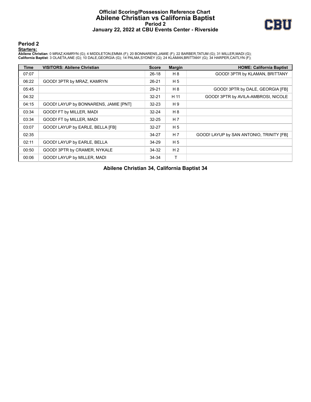## **Official Scoring/Possession Reference Chart Abilene Christian vs California Baptist Period 2 January 22, 2022 at CBU Events Center - Riverside**



#### **Period 2**

#### **Starters:**

Abilene Christian: 0 MRAZ,KAMRYN (G); 4 MIDDLETON,EMMA (F); 20 BONNARENS,JAMIE (F); 22 BARBER,TATUM (G); 31 MILLER,MADI (G);<br>California Baptist: 3 OLAETA,ANE (G); 10 DALE,GEORGIA (G); 14 PALMA,SYDNEY (G); 24 KLAMAN,BRITTAN

| <b>Time</b> | <b>VISITORS: Abilene Christian</b>    | <b>Score</b> | <b>Margin</b>  | <b>HOME: California Baptist</b>          |
|-------------|---------------------------------------|--------------|----------------|------------------------------------------|
| 07:07       |                                       | $26-18$      | H 8            | GOOD! 3PTR by KLAMAN, BRITTANY           |
| 06:22       | GOOD! 3PTR by MRAZ, KAMRYN            | 26-21        | H <sub>5</sub> |                                          |
| 05:45       |                                       | 29-21        | H 8            | GOOD! 3PTR by DALE, GEORGIA [FB]         |
| 04:32       |                                       | $32 - 21$    | H 11           | GOOD! 3PTR by AVILA-AMBROSI, NICOLE      |
| 04:15       | GOOD! LAYUP by BONNARENS, JAMIE [PNT] | $32 - 23$    | H 9            |                                          |
| 03:34       | GOOD! FT by MILLER, MADI              | $32 - 24$    | H 8            |                                          |
| 03:34       | GOOD! FT by MILLER, MADI              | $32 - 25$    | H <sub>7</sub> |                                          |
| 03:07       | GOOD! LAYUP by EARLE, BELLA [FB]      | $32 - 27$    | H <sub>5</sub> |                                          |
| 02:35       |                                       | 34-27        | H 7            | GOOD! LAYUP by SAN ANTONIO, TRINITY [FB] |
| 02:11       | GOOD! LAYUP by EARLE, BELLA           | 34-29        | H <sub>5</sub> |                                          |
| 00:50       | GOOD! 3PTR by CRAMER, NYKALE          | 34-32        | H <sub>2</sub> |                                          |
| 00:06       | GOOD! LAYUP by MILLER, MADI           | 34-34        | т              |                                          |

**Abilene Christian 34, California Baptist 34**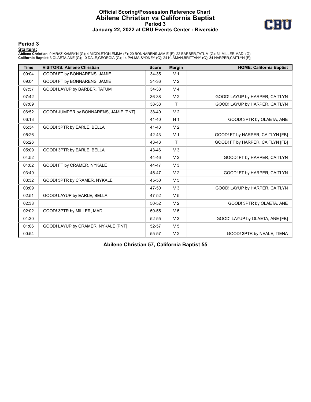## **Official Scoring/Possession Reference Chart Abilene Christian vs California Baptist Period 3 January 22, 2022 at CBU Events Center - Riverside**



#### **Period 3**

#### **Starters:**

Abilene Christian: 0 MRAZ,KAMRYN (G); 4 MIDDLETON,EMMA (F); 20 BONNARENS,JAMIE (F); 22 BARBER,TATUM (G); 31 MILLER,MADI (G);<br>California Baptist: 3 OLAETA,ANE (G); 10 DALE,GEORGIA (G); 14 PALMA,SYDNEY (G); 24 KLAMAN,BRITTAN

| <b>Time</b> | <b>VISITORS: Abilene Christian</b>     | <b>Score</b> | <b>Margin</b>  | <b>HOME: California Baptist</b>  |
|-------------|----------------------------------------|--------------|----------------|----------------------------------|
| 09:04       | GOOD! FT by BONNARENS, JAMIE           | 34-35        | V <sub>1</sub> |                                  |
| 09:04       | GOOD! FT by BONNARENS, JAMIE           | 34-36        | V <sub>2</sub> |                                  |
| 07:57       | GOOD! LAYUP by BARBER, TATUM           | 34-38        | V <sub>4</sub> |                                  |
| 07:42       |                                        | 36-38        | V <sub>2</sub> | GOOD! LAYUP by HARPER, CAITLYN   |
| 07:09       |                                        | 38-38        | $\mathsf{T}$   | GOOD! LAYUP by HARPER, CAITLYN   |
| 06:52       | GOOD! JUMPER by BONNARENS, JAMIE [PNT] | 38-40        | V <sub>2</sub> |                                  |
| 06:13       |                                        | 41-40        | H <sub>1</sub> | GOOD! 3PTR by OLAETA, ANE        |
| 05:34       | GOOD! 3PTR by EARLE, BELLA             | 41-43        | V <sub>2</sub> |                                  |
| 05:26       |                                        | 42-43        | V <sub>1</sub> | GOOD! FT by HARPER, CAITLYN [FB] |
| 05:26       |                                        | 43-43        | T              | GOOD! FT by HARPER, CAITLYN [FB] |
| 05:09       | GOOD! 3PTR by EARLE, BELLA             | 43-46        | V <sub>3</sub> |                                  |
| 04:52       |                                        | 44-46        | V <sub>2</sub> | GOOD! FT by HARPER, CAITLYN      |
| 04:02       | GOOD! FT by CRAMER, NYKALE             | 44-47        | V <sub>3</sub> |                                  |
| 03:49       |                                        | 45-47        | V <sub>2</sub> | GOOD! FT by HARPER, CAITLYN      |
| 03:32       | GOOD! 3PTR by CRAMER, NYKALE           | 45-50        | V <sub>5</sub> |                                  |
| 03:09       |                                        | 47-50        | V <sub>3</sub> | GOOD! LAYUP by HARPER, CAITLYN   |
| 02:51       | GOOD! LAYUP by EARLE, BELLA            | 47-52        | V <sub>5</sub> |                                  |
| 02:38       |                                        | 50-52        | V <sub>2</sub> | GOOD! 3PTR by OLAETA, ANE        |
| 02:02       | GOOD! 3PTR by MILLER, MADI             | 50-55        | V <sub>5</sub> |                                  |
| 01:30       |                                        | $52 - 55$    | V <sub>3</sub> | GOOD! LAYUP by OLAETA, ANE [FB]  |
| 01:06       | GOOD! LAYUP by CRAMER, NYKALE [PNT]    | 52-57        | V <sub>5</sub> |                                  |
| 00:54       |                                        | 55-57        | V <sub>2</sub> | GOOD! 3PTR by NEALE, TIENA       |

**Abilene Christian 57, California Baptist 55**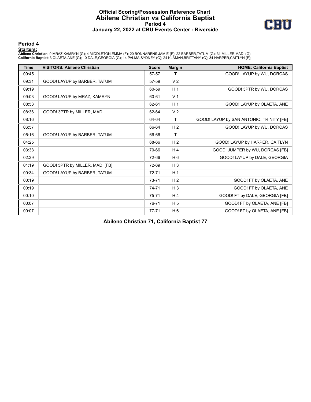## **Official Scoring/Possession Reference Chart Abilene Christian vs California Baptist Period 4 January 22, 2022 at CBU Events Center - Riverside**



#### **Period 4**

#### **Starters:**

Abilene Christian: 0 MRAZ,KAMRYN (G); 4 MIDDLETON,EMMA (F); 20 BONNARENS,JAMIE (F); 22 BARBER,TATUM (G); 31 MILLER,MADI (G);<br>California Baptist: 3 OLAETA,ANE (G); 10 DALE,GEORGIA (G); 14 PALMA,SYDNEY (G); 24 KLAMAN,BRITTAN

| <b>Time</b> | <b>VISITORS: Abilene Christian</b> | <b>Score</b> | <b>Margin</b>  | <b>HOME: California Baptist</b>          |
|-------------|------------------------------------|--------------|----------------|------------------------------------------|
| 09:45       |                                    | 57-57        |                | GOOD! LAYUP by WU, DORCAS                |
| 09:31       | GOOD! LAYUP by BARBER, TATUM       | 57-59        | V <sub>2</sub> |                                          |
| 09:19       |                                    | 60-59        | H <sub>1</sub> | GOOD! 3PTR by WU, DORCAS                 |
| 09:03       | GOOD! LAYUP by MRAZ, KAMRYN        | 60-61        | V <sub>1</sub> |                                          |
| 08:53       |                                    | 62-61        | H <sub>1</sub> | GOOD! LAYUP by OLAETA, ANE               |
| 08:36       | GOOD! 3PTR by MILLER, MADI         | 62-64        | V <sub>2</sub> |                                          |
| 08:16       |                                    | 64-64        | T              | GOOD! LAYUP by SAN ANTONIO, TRINITY [FB] |
| 06:57       |                                    | 66-64        | H <sub>2</sub> | GOOD! LAYUP by WU, DORCAS                |
| 05:16       | GOOD! LAYUP by BARBER, TATUM       | 66-66        | т              |                                          |
| 04:25       |                                    | 68-66        | H <sub>2</sub> | GOOD! LAYUP by HARPER, CAITLYN           |
| 03:33       |                                    | 70-66        | H4             | GOOD! JUMPER by WU, DORCAS [FB]          |
| 02:39       |                                    | 72-66        | H <sub>6</sub> | GOOD! LAYUP by DALE, GEORGIA             |
| 01:19       | GOOD! 3PTR by MILLER, MADI [FB]    | 72-69        | $H_3$          |                                          |
| 00:34       | GOOD! LAYUP by BARBER, TATUM       | $72 - 71$    | H <sub>1</sub> |                                          |
| 00:19       |                                    | 73-71        | H <sub>2</sub> | GOOD! FT by OLAETA, ANE                  |
| 00:19       |                                    | 74-71        | H <sub>3</sub> | GOOD! FT by OLAETA, ANE                  |
| 00:10       |                                    | $75 - 71$    | H4             | GOOD! FT by DALE, GEORGIA [FB]           |
| 00:07       |                                    | 76-71        | H <sub>5</sub> | GOOD! FT by OLAETA, ANE [FB]             |
| 00:07       |                                    | $77 - 71$    | H <sub>6</sub> | GOOD! FT by OLAETA, ANE [FB]             |

**Abilene Christian 71, California Baptist 77**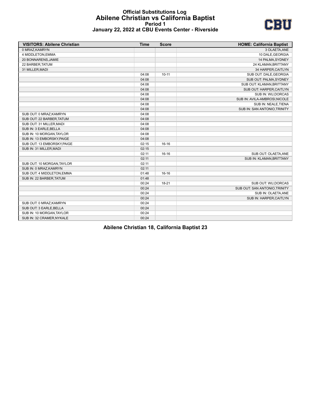#### **Official Substitutions Log Abilene Christian vs California Baptist Period 1 January 22, 2022 at CBU Events Center - Riverside**



| <b>VISITORS: Abilene Christian</b> | <b>Time</b> | <b>Score</b> | <b>HOME: California Baptist</b> |
|------------------------------------|-------------|--------------|---------------------------------|
| 0 MRAZ, KAMRYN                     |             |              | 3 OLAETA, ANE                   |
| 4 MIDDLETON, EMMA                  |             |              | 10 DALE, GEORGIA                |
| 20 BONNARENS, JAMIE                |             |              | 14 PALMA, SYDNEY                |
| 22 BARBER, TATUM                   |             |              | 24 KLAMAN, BRITTANY             |
| 31 MILLER, MADI                    |             |              | 34 HARPER, CAITLYN              |
|                                    | 04:08       | $10 - 11$    | SUB OUT: DALE, GEORGIA          |
|                                    | 04:08       |              | SUB OUT: PALMA, SYDNEY          |
|                                    | 04:08       |              | SUB OUT: KLAMAN, BRITTANY       |
|                                    | 04:08       |              | SUB OUT: HARPER, CAITLYN        |
|                                    | 04:08       |              | SUB IN: WU, DORCAS              |
|                                    | 04:08       |              | SUB IN: AVILA-AMBROSI, NICOLE   |
|                                    | 04:08       |              | SUB IN: NEALE, TIENA            |
|                                    | 04:08       |              | SUB IN: SAN ANTONIO, TRINITY    |
| SUB OUT: 0 MRAZ, KAMRYN            | 04:08       |              |                                 |
| SUB OUT: 22 BARBER, TATUM          | 04:08       |              |                                 |
| SUB OUT: 31 MILLER, MADI           | 04:08       |              |                                 |
| SUB IN: 3 EARLE, BELLA             | 04:08       |              |                                 |
| SUB IN: 10 MORGAN, TAYLOR          | 04:08       |              |                                 |
| SUB IN: 13 EMBORSKY, PAIGE         | 04:08       |              |                                 |
| SUB OUT: 13 EMBORSKY, PAIGE        | 02:15       | $16-16$      |                                 |
| SUB IN: 31 MILLER, MADI            | 02:15       |              |                                 |
|                                    | 02:11       | 16-16        | SUB OUT: OLAETA, ANE            |
|                                    | 02:11       |              | SUB IN: KLAMAN, BRITTANY        |
| SUB OUT: 10 MORGAN, TAYLOR         | 02:11       |              |                                 |
| SUB IN: 0 MRAZ, KAMRYN             | 02:11       |              |                                 |
| SUB OUT: 4 MIDDLETON, EMMA         | 01:48       | $16 - 16$    |                                 |
| SUB IN: 22 BARBER, TATUM           | 01:48       |              |                                 |
|                                    | 00:24       | $18 - 21$    | SUB OUT: WU, DORCAS             |
|                                    | 00:24       |              | SUB OUT: SAN ANTONIO, TRINITY   |
|                                    | 00:24       |              | SUB IN: OLAETA, ANE             |
|                                    | 00:24       |              | SUB IN: HARPER, CAITLYN         |
| SUB OUT: 0 MRAZ, KAMRYN            | 00:24       |              |                                 |
| SUB OUT: 3 EARLE, BELLA            | 00:24       |              |                                 |
| SUB IN: 10 MORGAN, TAYLOR          | 00:24       |              |                                 |
| SUB IN: 32 CRAMER, NYKALE          | 00:24       |              |                                 |

**Abilene Christian 18, California Baptist 23**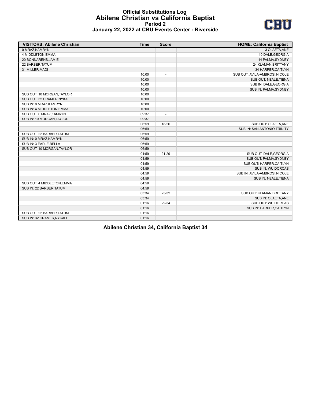#### **Official Substitutions Log Abilene Christian vs California Baptist Period 2 January 22, 2022 at CBU Events Center - Riverside**



| <b>VISITORS: Abilene Christian</b> | <b>Time</b> | <b>Score</b>             | <b>HOME: California Baptist</b> |
|------------------------------------|-------------|--------------------------|---------------------------------|
| 0 MRAZ, KAMRYN                     |             |                          | 3 OLAETA, ANE                   |
| 4 MIDDLETON, EMMA                  |             |                          | 10 DALE, GEORGIA                |
| 20 BONNARENS, JAMIE                |             |                          | 14 PALMA, SYDNEY                |
| 22 BARBER, TATUM                   |             |                          | 24 KLAMAN, BRITTANY             |
| 31 MILLER, MADI                    |             |                          | 34 HARPER, CAITLYN              |
|                                    | 10:00       | $\overline{a}$           | SUB OUT: AVILA-AMBROSI, NICOLE  |
|                                    | 10:00       |                          | SUB OUT: NEALE, TIENA           |
|                                    | 10:00       |                          | SUB IN: DALE, GEORGIA           |
|                                    | 10:00       |                          | SUB IN: PALMA, SYDNEY           |
| SUB OUT: 10 MORGAN, TAYLOR         | 10:00       |                          |                                 |
| SUB OUT: 32 CRAMER, NYKALE         | 10:00       |                          |                                 |
| SUB IN: 0 MRAZ, KAMRYN             | 10:00       |                          |                                 |
| SUB IN: 4 MIDDLETON, EMMA          | 10:00       |                          |                                 |
| SUB OUT: 0 MRAZ, KAMRYN            | 09:37       | $\overline{\phantom{a}}$ |                                 |
| SUB IN: 10 MORGAN, TAYLOR          | 09:37       |                          |                                 |
|                                    | 06:59       | 18-26                    | SUB OUT: OLAETA, ANE            |
|                                    | 06:59       |                          | SUB IN: SAN ANTONIO, TRINITY    |
| SUB OUT: 22 BARBER, TATUM          | 06:59       |                          |                                 |
| SUB IN: 0 MRAZ, KAMRYN             | 06:59       |                          |                                 |
| SUB IN: 3 EARLE, BELLA             | 06:59       |                          |                                 |
| SUB OUT: 10 MORGAN, TAYLOR         | 06:59       |                          |                                 |
|                                    | 04:59       | 21-29                    | SUB OUT: DALE, GEORGIA          |
|                                    | 04:59       |                          | SUB OUT: PALMA, SYDNEY          |
|                                    | 04:59       |                          | SUB OUT: HARPER, CAITLYN        |
|                                    | 04:59       |                          | SUB IN: WU, DORCAS              |
|                                    | 04:59       |                          | SUB IN: AVILA-AMBROSI, NICOLE   |
|                                    | 04:59       |                          | SUB IN: NEALE, TIENA            |
| SUB OUT: 4 MIDDLETON, EMMA         | 04:59       |                          |                                 |
| SUB IN: 22 BARBER, TATUM           | 04:59       |                          |                                 |
|                                    | 03:34       | 23-32                    | SUB OUT: KLAMAN, BRITTANY       |
|                                    | 03:34       |                          | SUB IN: OLAETA, ANE             |
|                                    | 01:16       | 29-34                    | SUB OUT: WU, DORCAS             |
|                                    | 01:16       |                          | SUB IN: HARPER, CAITLYN         |
| SUB OUT: 22 BARBER, TATUM          | 01:16       |                          |                                 |
| SUB IN: 32 CRAMER, NYKALE          | 01:16       |                          |                                 |

**Abilene Christian 34, California Baptist 34**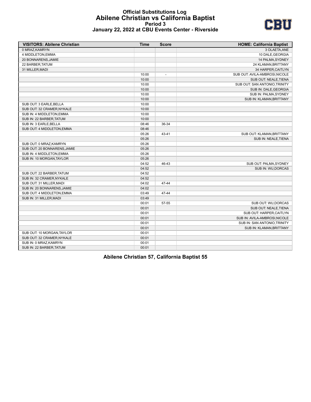#### **Official Substitutions Log Abilene Christian vs California Baptist Period 3 January 22, 2022 at CBU Events Center - Riverside**



| <b>VISITORS: Abilene Christian</b> | <b>Time</b> | <b>Score</b> | <b>HOME: California Baptist</b> |
|------------------------------------|-------------|--------------|---------------------------------|
| 0 MRAZ, KAMRYN                     |             |              | 3 OLAETA, ANE                   |
| 4 MIDDLETON, EMMA                  |             |              | 10 DALE, GEORGIA                |
| 20 BONNARENS, JAMIE                |             |              | 14 PALMA, SYDNEY                |
| 22 BARBER, TATUM                   |             |              | 24 KLAMAN, BRITTANY             |
| 31 MILLER, MADI                    |             |              | 34 HARPER, CAITLYN              |
|                                    | 10:00       |              | SUB OUT: AVILA-AMBROSI, NICOLE  |
|                                    | 10:00       |              | SUB OUT: NEALE, TIENA           |
|                                    | 10:00       |              | SUB OUT: SAN ANTONIO, TRINITY   |
|                                    | 10:00       |              | SUB IN: DALE, GEORGIA           |
|                                    | 10:00       |              | SUB IN: PALMA, SYDNEY           |
|                                    | 10:00       |              | SUB IN: KLAMAN, BRITTANY        |
| SUB OUT: 3 EARLE, BELLA            | 10:00       |              |                                 |
| SUB OUT: 32 CRAMER, NYKALE         | 10:00       |              |                                 |
| SUB IN: 4 MIDDLETON, EMMA          | 10:00       |              |                                 |
| SUB IN: 22 BARBER, TATUM           | 10:00       |              |                                 |
| SUB IN: 3 EARLE, BELLA             | 08:46       | 36-34        |                                 |
| SUB OUT: 4 MIDDLETON, EMMA         | 08:46       |              |                                 |
|                                    | 05:26       | 43-41        | SUB OUT: KLAMAN, BRITTANY       |
|                                    | 05:26       |              | SUB IN: NEALE, TIENA            |
| SUB OUT: 0 MRAZ.KAMRYN             | 05:26       |              |                                 |
| SUB OUT: 20 BONNARENS, JAMIE       | 05:26       |              |                                 |
| SUB IN: 4 MIDDLETON, EMMA          | 05:26       |              |                                 |
| SUB IN: 10 MORGAN, TAYLOR          | 05:26       |              |                                 |
|                                    | 04:52       | 46-43        | SUB OUT: PALMA, SYDNEY          |
|                                    | 04:52       |              | SUB IN: WU, DORCAS              |
| SUB OUT: 22 BARBER, TATUM          | 04:52       |              |                                 |
| SUB IN: 32 CRAMER, NYKALE          | 04:52       |              |                                 |
| SUB OUT: 31 MILLER, MADI           | 04:02       | 47-44        |                                 |
| SUB IN: 20 BONNARENS, JAMIE        | 04:02       |              |                                 |
| SUB OUT: 4 MIDDLETON, EMMA         | 03:49       | 47-44        |                                 |
| SUB IN: 31 MILLER, MADI            | 03:49       |              |                                 |
|                                    | 00:01       | 57-55        | SUB OUT: WU, DORCAS             |
|                                    | 00:01       |              | SUB OUT: NEALE, TIENA           |
|                                    | 00:01       |              | SUB OUT: HARPER, CAITLYN        |
|                                    | 00:01       |              | SUB IN: AVILA-AMBROSI, NICOLE   |
|                                    | 00:01       |              | SUB IN: SAN ANTONIO, TRINITY    |
|                                    | 00:01       |              | SUB IN: KLAMAN, BRITTANY        |
| SUB OUT: 10 MORGAN, TAYLOR         | 00:01       |              |                                 |
| SUB OUT: 32 CRAMER, NYKALE         | 00:01       |              |                                 |
| SUB IN: 0 MRAZ, KAMRYN             | 00:01       |              |                                 |
| SUB IN: 22 BARBER, TATUM           | 00:01       |              |                                 |

**Abilene Christian 57, California Baptist 55**